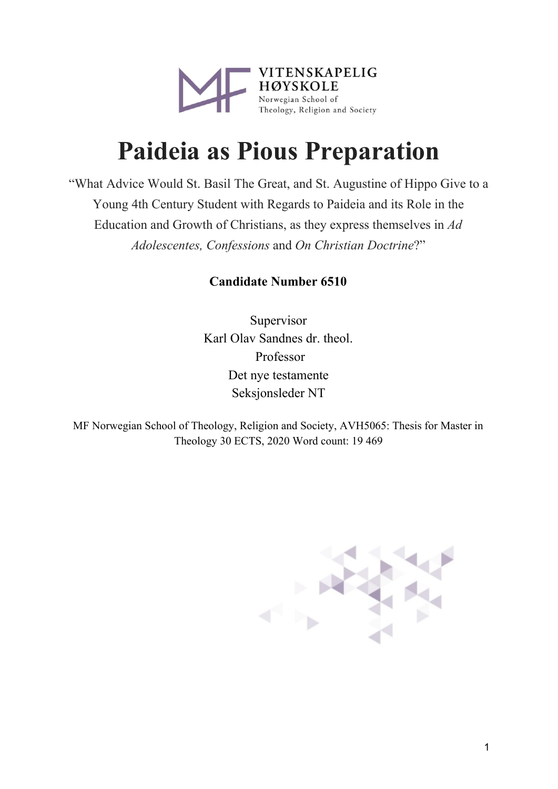

# **Paideia as Pious Preparation**

"What Advice Would St. Basil The Great, and St. Augustine of Hippo Give to a Young 4th Century Student with Regards to Paideia and its Role in the Education and Growth of Christians, as they express themselves in *Ad Adolescentes, Confessions* and *On Christian Doctrine*?"

### **Nicholas Rory Raphael Noble**

Supervisor Karl Olav Sandnes dr. theol. Professor Det nye testamente Seksjonsleder NT

MF Norwegian School of Theology, Religion and Society, AVH5065: Thesis for Master in Theology 30 ECTS, 2020 Word count: 19 469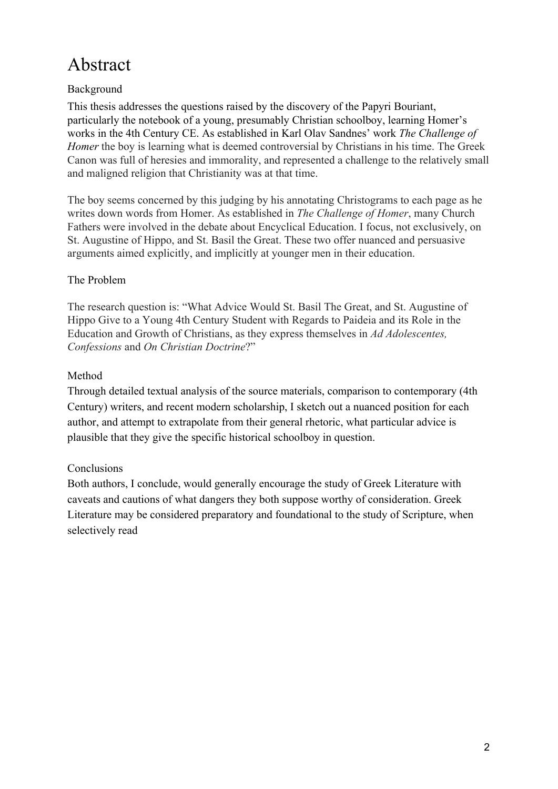# Abstract

#### Background

This thesis addresses the questions raised by the discovery of the Papyri Bouriant, particularly the notebook of a young, presumably Christian schoolboy, learning Homer's works in the 4th Century CE. As established in Karl Olav Sandnes' work *The Challenge of Homer* the boy is learning what is deemed controversial by Christians in his time. The Greek Canon was full of heresies and immorality, and represented a challenge to the relatively small and maligned religion that Christianity was at that time.

The boy seems concerned by this judging by his annotating Christograms to each page as he writes down words from Homer. As established in *The Challenge of Homer*, many Church Fathers were involved in the debate about Encyclical Education. I focus, not exclusively, on St. Augustine of Hippo, and St. Basil the Great. These two offer nuanced and persuasive arguments aimed explicitly, and implicitly at younger men in their education.

#### The Problem

The research question is: "What Advice Would St. Basil The Great, and St. Augustine of Hippo Give to a Young 4th Century Student with Regards to Paideia and its Role in the Education and Growth of Christians, as they express themselves in *Ad Adolescentes, Confessions* and *On Christian Doctrine*?"

#### Method

Through detailed textual analysis of the source materials, comparison to contemporary (4th Century) writers, and recent modern scholarship, I sketch out a nuanced position for each author, and attempt to extrapolate from their general rhetoric, what particular advice is plausible that they give the specific historical schoolboy in question.

#### Conclusions

Both authors, I conclude, would generally encourage the study of Greek Literature with caveats and cautions of what dangers they both suppose worthy of consideration. Greek Literature may be considered preparatory and foundational to the study of Scripture, when selectively read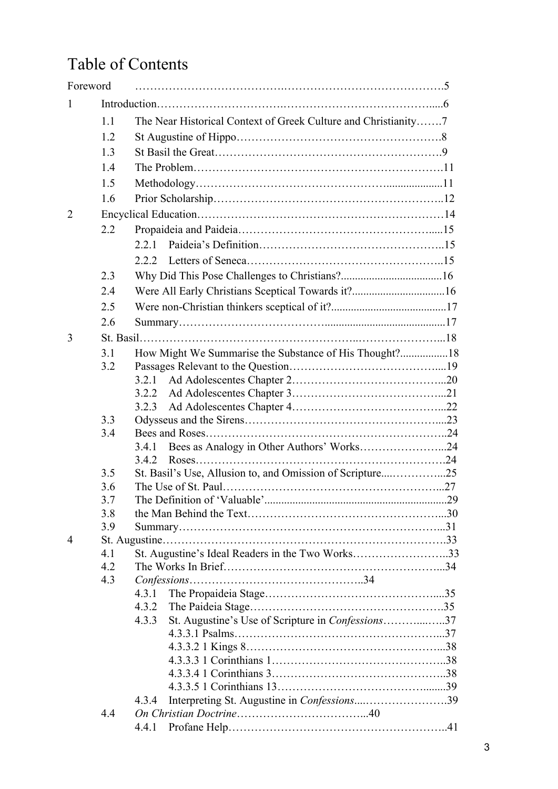# Table of Contents

|                | Foreword   |                                                                |  |  |
|----------------|------------|----------------------------------------------------------------|--|--|
| 1              |            |                                                                |  |  |
|                | 1.1        | The Near Historical Context of Greek Culture and Christianity7 |  |  |
|                | 1.2        |                                                                |  |  |
|                | 1.3        |                                                                |  |  |
|                | 1.4        |                                                                |  |  |
|                | 1.5        |                                                                |  |  |
|                | 1.6        |                                                                |  |  |
| $\overline{2}$ |            |                                                                |  |  |
|                | 2.2        |                                                                |  |  |
|                |            | 2.2.1                                                          |  |  |
|                |            |                                                                |  |  |
|                |            |                                                                |  |  |
|                | 2.3        |                                                                |  |  |
|                | 2.4        |                                                                |  |  |
|                | 2.5        |                                                                |  |  |
|                | 2.6        |                                                                |  |  |
| 3              |            |                                                                |  |  |
|                | 3.1        | How Might We Summarise the Substance of His Thought?18         |  |  |
|                | 3.2        |                                                                |  |  |
|                |            |                                                                |  |  |
|                |            | 3.2.3                                                          |  |  |
|                | 3.3        |                                                                |  |  |
|                | 3.4        |                                                                |  |  |
|                |            | Bees as Analogy in Other Authors' Works24<br>3.4.1             |  |  |
|                |            |                                                                |  |  |
|                | 3.5        |                                                                |  |  |
|                | 3.6        |                                                                |  |  |
|                | 3.7        |                                                                |  |  |
|                | 3.8        |                                                                |  |  |
|                | 3.9        |                                                                |  |  |
| $\overline{4}$ |            |                                                                |  |  |
|                | 4.1        | St. Augustine's Ideal Readers in the Two Works33               |  |  |
|                | 4.2<br>4.3 |                                                                |  |  |
|                |            | 4.3.1                                                          |  |  |
|                |            | 4.3.2                                                          |  |  |
|                |            | St. Augustine's Use of Scripture in Confessions37<br>4.3.3     |  |  |
|                |            |                                                                |  |  |
|                |            |                                                                |  |  |
|                |            |                                                                |  |  |
|                |            |                                                                |  |  |
|                |            |                                                                |  |  |
|                |            | Interpreting St. Augustine in Confessions39<br>4.3.4           |  |  |
|                | 4.4        |                                                                |  |  |
|                |            | 4.4.1                                                          |  |  |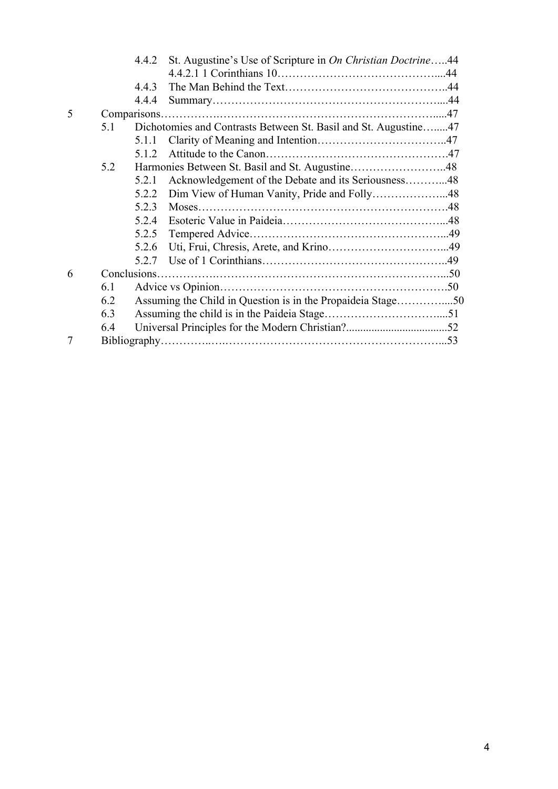|   |                                                                        | 4.4.2                                                       | St. Augustine's Use of Scripture in On Christian Doctrine44 |  |
|---|------------------------------------------------------------------------|-------------------------------------------------------------|-------------------------------------------------------------|--|
|   |                                                                        |                                                             |                                                             |  |
|   |                                                                        | 4.4.3                                                       |                                                             |  |
|   |                                                                        | 4.4.4                                                       |                                                             |  |
| 5 |                                                                        |                                                             |                                                             |  |
|   | Dichotomies and Contrasts Between St. Basil and St. Augustine47<br>5.1 |                                                             |                                                             |  |
|   |                                                                        | 5.1.1                                                       |                                                             |  |
|   |                                                                        | 512                                                         |                                                             |  |
|   | 5.2                                                                    |                                                             | Harmonies Between St. Basil and St. Augustine48             |  |
|   |                                                                        | 5.2.1                                                       | Acknowledgement of the Debate and its Seriousness48         |  |
|   |                                                                        | 5.2.2                                                       |                                                             |  |
|   |                                                                        | 5.2.3                                                       | Moses.                                                      |  |
|   |                                                                        | 5.2.4                                                       |                                                             |  |
|   |                                                                        | 5.2.5                                                       |                                                             |  |
|   |                                                                        | 5.2.6                                                       |                                                             |  |
|   |                                                                        | 5.2.7                                                       |                                                             |  |
| 6 |                                                                        |                                                             |                                                             |  |
|   | 6.1                                                                    |                                                             |                                                             |  |
|   | 6.2                                                                    | Assuming the Child in Question is in the Propaideia Stage50 |                                                             |  |
|   | 6.3                                                                    |                                                             |                                                             |  |
|   | 6.4                                                                    |                                                             |                                                             |  |
| 7 |                                                                        |                                                             |                                                             |  |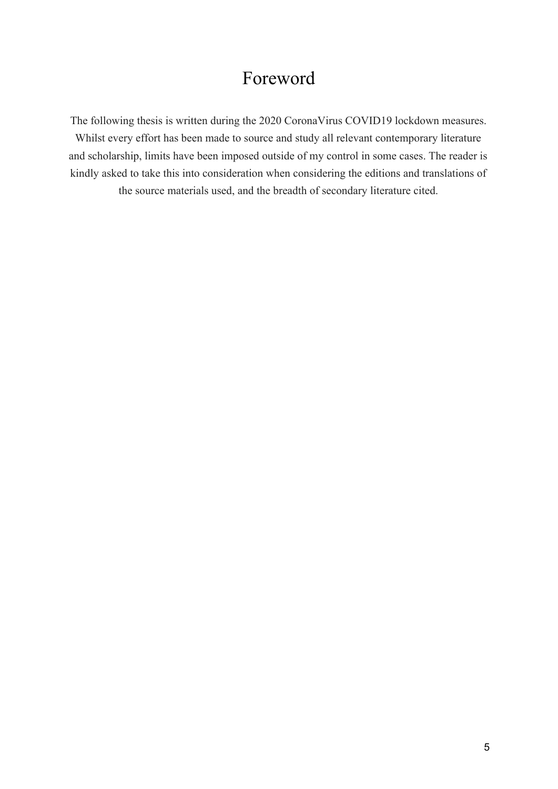# Foreword

The following thesis is written during the 2020 CoronaVirus COVID19 lockdown measures. Whilst every effort has been made to source and study all relevant contemporary literature and scholarship, limits have been imposed outside of my control in some cases. The reader is kindly asked to take this into consideration when considering the editions and translations of the source materials used, and the breadth of secondary literature cited.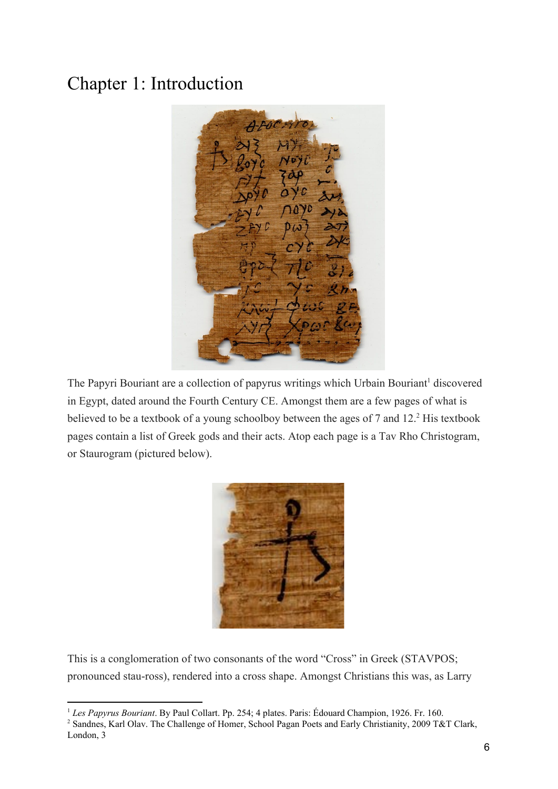# Chapter 1: Introduction



The Papyri Bouriant are a collection of papyrus writings which Urbain Bouriant<sup>1</sup> discovered in Egypt, dated around the Fourth Century CE. Amongst them are a few pages of what is believed to be a textbook of a young schoolboy between the ages of  $7$  and  $12<sup>2</sup>$  His textbook pages contain a list of Greek gods and their acts. Atop each page is a Tav Rho Christogram, or Staurogram (pictured below).



This is a conglomeration of two consonants of the word "Cross" in Greek (STAVPOS; pronounced stau-ross), rendered into a cross shape. Amongst Christians this was, as Larry

<sup>1</sup> *Les Papyrus Bouriant*. By Paul Collart. Pp. 254; 4 plates. Paris: Édouard Champion, 1926. Fr. 160.

<sup>2</sup> Sandnes, Karl Olav. The Challenge of Homer, School Pagan Poets and Early Christianity, 2009 T&T Clark, London, 3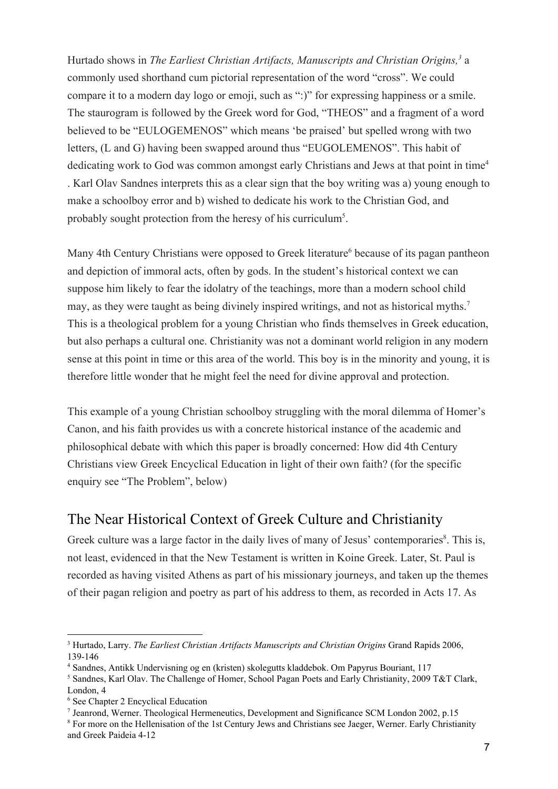Hurtado shows in *The Earliest Christian Artifacts, Manuscripts and Christian Origins*,<sup>3</sup> a commonly used shorthand cum pictorial representation of the word "cross". We could compare it to a modern day logo or emoji, such as ":)" for expressing happiness or a smile. The staurogram is followed by the Greek word for God, "THEOS" and a fragment of a word believed to be "EULOGEMENOS" which means 'be praised' but spelled wrong with two letters, (L and G) having been swapped around thus "EUGOLEMENOS". This habit of dedicating work to God was common amongst early Christians and Jews at that point in time<sup>4</sup> . Karl Olav Sandnes interprets this as a clear sign that the boy writing was a) young enough to make a schoolboy error and b) wished to dedicate his work to the Christian God, and probably sought protection from the heresy of his curriculum<sup>5</sup>.

Many 4th Century Christians were opposed to Greek literature<sup>6</sup> because of its pagan pantheon and depiction of immoral acts, often by gods. In the student's historical context we can suppose him likely to fear the idolatry of the teachings, more than a modern school child may, as they were taught as being divinely inspired writings, and not as historical myths.<sup>7</sup> This is a theological problem for a young Christian who finds themselves in Greek education, but also perhaps a cultural one. Christianity was not a dominant world religion in any modern sense at this point in time or this area of the world. This boy is in the minority and young, it is therefore little wonder that he might feel the need for divine approval and protection.

This example of a young Christian schoolboy struggling with the moral dilemma of Homer's Canon, and his faith provides us with a concrete historical instance of the academic and philosophical debate with which this paper is broadly concerned: How did 4th Century Christians view Greek Encyclical Education in light of their own faith? (for the specific enquiry see "The Problem", below)

## The Near Historical Context of Greek Culture and Christianity

Greek culture was a large factor in the daily lives of many of Jesus' contemporaries<sup>8</sup>. This is, not least, evidenced in that the New Testament is written in Koine Greek. Later, St. Paul is recorded as having visited Athens as part of his missionary journeys, and taken up the themes of their pagan religion and poetry as part of his address to them, as recorded in Acts 17. As

<sup>3</sup> Hurtado, Larry. *The Earliest Christian Artifacts Manuscripts and Christian Origins* Grand Rapids 2006, 139-146

<sup>4</sup> Sandnes, Antikk Undervisning og en (kristen) skolegutts kladdebok. Om Papyrus Bouriant, 117

<sup>5</sup> Sandnes, Karl Olav. The Challenge of Homer, School Pagan Poets and Early Christianity, 2009 T&T Clark, London, 4

<sup>6</sup> See Chapter 2 Encyclical Education

<sup>7</sup> Jeanrond, Werner. Theological Hermeneutics, Development and Significance SCM London 2002, p.15 <sup>8</sup> For more on the Hellenisation of the 1st Century Jews and Christians see Jaeger, Werner. Early Christianity and Greek Paideia 4-12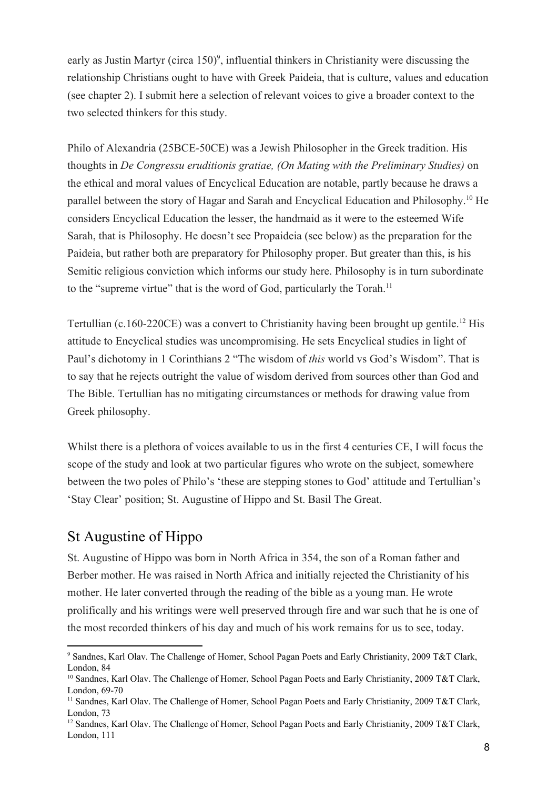early as Justin Martyr (circa  $150$ )<sup>9</sup>, influential thinkers in Christianity were discussing the relationship Christians ought to have with Greek Paideia, that is culture, values and education (see chapter 2). I submit here a selection of relevant voices to give a broader context to the two selected thinkers for this study.

Philo of Alexandria (25BCE-50CE) was a Jewish Philosopher in the Greek tradition. His thoughts in *De Congressu eruditionis gratiae, (On Mating with the Preliminary Studies)* on the ethical and moral values of Encyclical Education are notable, partly because he draws a parallel between the story of Hagar and Sarah and Encyclical Education and Philosophy.<sup>10</sup> He considers Encyclical Education the lesser, the handmaid as it were to the esteemed Wife Sarah, that is Philosophy. He doesn't see Propaideia (see below) as the preparation for the Paideia, but rather both are preparatory for Philosophy proper. But greater than this, is his Semitic religious conviction which informs our study here. Philosophy is in turn subordinate to the "supreme virtue" that is the word of God, particularly the Torah.<sup>11</sup>

Tertullian (c.160-220CE) was a convert to Christianity having been brought up gentile.<sup>12</sup> His attitude to Encyclical studies was uncompromising. He sets Encyclical studies in light of Paul's dichotomy in 1 Corinthians 2 "The wisdom of *this* world vs God's Wisdom". That is to say that he rejects outright the value of wisdom derived from sources other than God and The Bible. Tertullian has no mitigating circumstances or methods for drawing value from Greek philosophy.

Whilst there is a plethora of voices available to us in the first 4 centuries CE, I will focus the scope of the study and look at two particular figures who wrote on the subject, somewhere between the two poles of Philo's 'these are stepping stones to God' attitude and Tertullian's 'Stay Clear' position; St. Augustine of Hippo and St. Basil The Great.

## St Augustine of Hippo

St. Augustine of Hippo was born in North Africa in 354, the son of a Roman father and Berber mother. He was raised in North Africa and initially rejected the Christianity of his mother. He later converted through the reading of the bible as a young man. He wrote prolifically and his writings were well preserved through fire and war such that he is one of the most recorded thinkers of his day and much of his work remains for us to see, today.

<sup>9</sup> Sandnes, Karl Olav. The Challenge of Homer, School Pagan Poets and Early Christianity, 2009 T&T Clark, London, 84

<sup>&</sup>lt;sup>10</sup> Sandnes, Karl Olav. The Challenge of Homer, School Pagan Poets and Early Christianity, 2009 T&T Clark, London, 69-70

<sup>&</sup>lt;sup>11</sup> Sandnes, Karl Olav. The Challenge of Homer, School Pagan Poets and Early Christianity, 2009 T&T Clark, London, 73

<sup>&</sup>lt;sup>12</sup> Sandnes, Karl Olav. The Challenge of Homer, School Pagan Poets and Early Christianity, 2009 T&T Clark, London, 111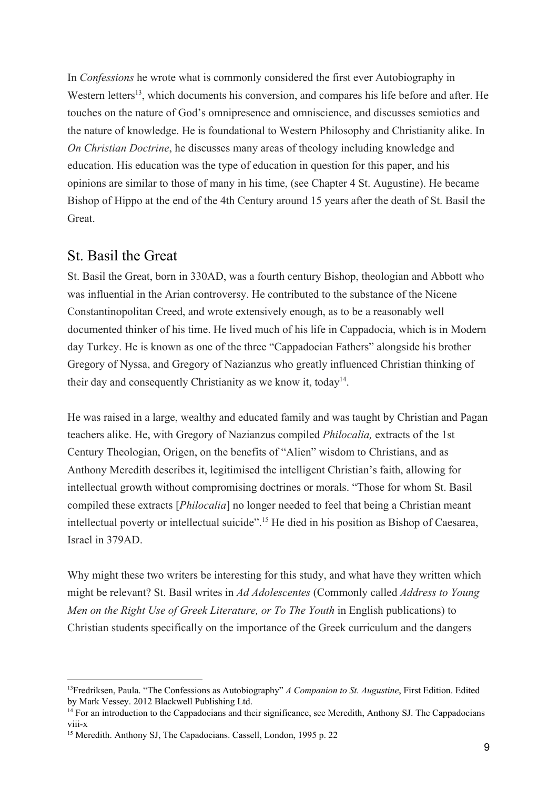In *Confessions* he wrote what is commonly considered the first ever Autobiography in Western letters<sup>13</sup>, which documents his conversion, and compares his life before and after. He touches on the nature of God's omnipresence and omniscience, and discusses semiotics and the nature of knowledge. He is foundational to Western Philosophy and Christianity alike. In *On Christian Doctrine*, he discusses many areas of theology including knowledge and education. His education was the type of education in question for this paper, and his opinions are similar to those of many in his time, (see Chapter 4 St. Augustine). He became Bishop of Hippo at the end of the 4th Century around 15 years after the death of St. Basil the Great.

#### St. Basil the Great

St. Basil the Great, born in 330AD, was a fourth century Bishop, theologian and Abbott who was influential in the Arian controversy. He contributed to the substance of the Nicene Constantinopolitan Creed, and wrote extensively enough, as to be a reasonably well documented thinker of his time. He lived much of his life in Cappadocia, which is in Modern day Turkey. He is known as one of the three "Cappadocian Fathers" alongside his brother Gregory of Nyssa, and Gregory of Nazianzus who greatly influenced Christian thinking of their day and consequently Christianity as we know it, today<sup>14</sup>.

He was raised in a large, wealthy and educated family and was taught by Christian and Pagan teachers alike. He, with Gregory of Nazianzus compiled *Philocalia,* extracts of the 1st Century Theologian, Origen, on the benefits of "Alien" wisdom to Christians, and as Anthony Meredith describes it, legitimised the intelligent Christian's faith, allowing for intellectual growth without compromising doctrines or morals. "Those for whom St. Basil compiled these extracts [*Philocalia*] no longer needed to feel that being a Christian meant intellectual poverty or intellectual suicide".<sup>15</sup> He died in his position as Bishop of Caesarea, Israel in 379AD.

Why might these two writers be interesting for this study, and what have they written which might be relevant? St. Basil writes in *Ad Adolescentes* (Commonly called *Address to Young Men on the Right Use of Greek Literature, or To The Youth in English publications) to* Christian students specifically on the importance of the Greek curriculum and the dangers

<sup>13</sup>Fredriksen, Paula. "The Confessions as Autobiography" *A Companion to St. Augustine*, First Edition. Edited by Mark Vessey. 2012 Blackwell Publishing Ltd.

<sup>&</sup>lt;sup>14</sup> For an introduction to the Cappadocians and their significance, see Meredith, Anthony SJ. The Cappadocians viii-x

<sup>&</sup>lt;sup>15</sup> Meredith. Anthony SJ, The Capadocians. Cassell, London, 1995 p. 22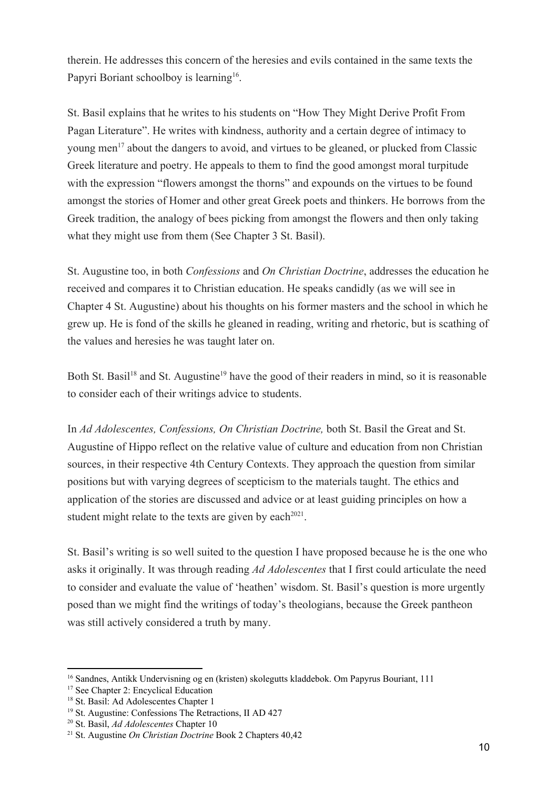therein. He addresses this concern of the heresies and evils contained in the same texts the Papyri Boriant schoolboy is learning<sup>16</sup>.

St. Basil explains that he writes to his students on "How They Might Derive Profit From Pagan Literature". He writes with kindness, authority and a certain degree of intimacy to young men<sup>17</sup> about the dangers to avoid, and virtues to be gleaned, or plucked from Classic Greek literature and poetry. He appeals to them to find the good amongst moral turpitude with the expression "flowers amongst the thorns" and expounds on the virtues to be found amongst the stories of Homer and other great Greek poets and thinkers. He borrows from the Greek tradition, the analogy of bees picking from amongst the flowers and then only taking what they might use from them (See Chapter 3 St. Basil).

St. Augustine too, in both *Confessions* and *On Christian Doctrine*, addresses the education he received and compares it to Christian education. He speaks candidly (as we will see in Chapter 4 St. Augustine) about his thoughts on his former masters and the school in which he grew up. He is fond of the skills he gleaned in reading, writing and rhetoric, but is scathing of the values and heresies he was taught later on.

Both St. Basil<sup>18</sup> and St. Augustine<sup>19</sup> have the good of their readers in mind, so it is reasonable to consider each of their writings advice to students.

In *Ad Adolescentes, Confessions, On Christian Doctrine,* both St. Basil the Great and St. Augustine of Hippo reflect on the relative value of culture and education from non Christian sources, in their respective 4th Century Contexts. They approach the question from similar positions but with varying degrees of scepticism to the materials taught. The ethics and application of the stories are discussed and advice or at least guiding principles on how a student might relate to the texts are given by each $2021$ .

St. Basil's writing is so well suited to the question I have proposed because he is the one who asks it originally. It was through reading *Ad Adolescentes* that I first could articulate the need to consider and evaluate the value of 'heathen' wisdom. St. Basil's question is more urgently posed than we might find the writings of today's theologians, because the Greek pantheon was still actively considered a truth by many.

<sup>&</sup>lt;sup>16</sup> Sandnes, Antikk Undervisning og en (kristen) skolegutts kladdebok. Om Papyrus Bouriant, 111

<sup>17</sup> See Chapter 2: Encyclical Education

<sup>&</sup>lt;sup>18</sup> St. Basil: Ad Adolescentes Chapter 1

<sup>19</sup> St. Augustine: Confessions The Retractions, II AD 427

<sup>20</sup> St. Basil, *Ad Adolescentes* Chapter 10

<sup>21</sup> St. Augustine *On Christian Doctrine* Book 2 Chapters 40,42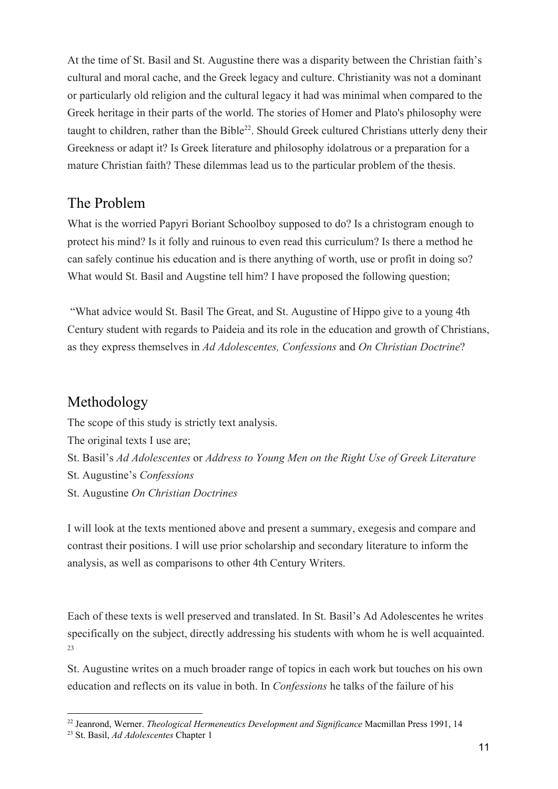At the time of St. Basil and St. Augustine there was a disparity between the Christian faith's cultural and moral cache, and the Greek legacy and culture. Christianity was not a dominant or particularly old religion and the cultural legacy it had was minimal when compared to the Greek heritage in their parts of the world. The stories of Homer and Plato's philosophy were taught to children, rather than the Bible<sup>22</sup>. Should Greek cultured Christians utterly deny their Greekness or adapt it? Is Greek literature and philosophy idolatrous or a preparation for a mature Christian faith? These dilemmas lead us to the particular problem of the thesis.

## The Problem

What is the worried Papyri Boriant Schoolboy supposed to do? Is a christogram enough to protect his mind? Is it folly and ruinous to even read this curriculum? Is there a method he can safely continue his education and is there anything of worth, use or profit in doing so? What would St. Basil and Augstine tell him? I have proposed the following question;

 "What advice would St. Basil The Great, and St. Augustine of Hippo give to a young 4th Century student with regards to Paideia and its role in the education and growth of Christians, as they express themselves in *Ad Adolescentes, Confessions* and *On Christian Doctrine*?

## Methodology

The scope of this study is strictly text analysis. The original texts I use are; St. Basil's *Ad Adolescentes* or *Address to Young Men on the Right Use of Greek Literature* St. Augustine's *Confessions* St. Augustine *On Christian Doctrines*

I will look at the texts mentioned above and present a summary, exegesis and compare and contrast their positions. I will use prior scholarship and secondary literature to inform the analysis, as well as comparisons to other 4th Century Writers.

Each of these texts is well preserved and translated. In St. Basil's Ad Adolescentes he writes specifically on the subject, directly addressing his students with whom he is well acquainted. 23

St. Augustine writes on a much broader range of topics in each work but touches on his own education and reflects on its value in both. In *Confessions* he talks of the failure of his

<sup>22</sup> Jeanrond, Werner. *Theological Hermeneutics Development and Significance* Macmillan Press 1991, 14

<sup>23</sup> St. Basil, *Ad Adolescentes* Chapter 1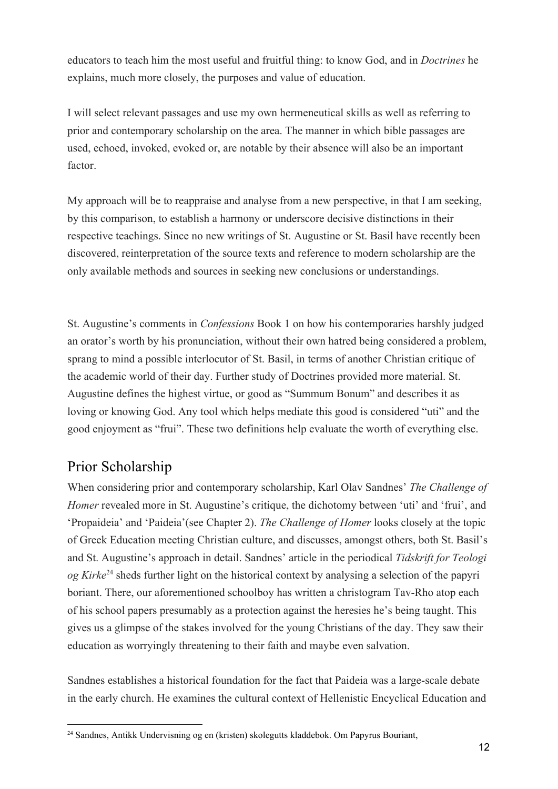educators to teach him the most useful and fruitful thing: to know God, and in *Doctrines* he explains, much more closely, the purposes and value of education.

I will select relevant passages and use my own hermeneutical skills as well as referring to prior and contemporary scholarship on the area. The manner in which bible passages are used, echoed, invoked, evoked or, are notable by their absence will also be an important factor.

My approach will be to reappraise and analyse from a new perspective, in that I am seeking, by this comparison, to establish a harmony or underscore decisive distinctions in their respective teachings. Since no new writings of St. Augustine or St. Basil have recently been discovered, reinterpretation of the source texts and reference to modern scholarship are the only available methods and sources in seeking new conclusions or understandings.

St. Augustine's comments in *Confessions* Book 1 on how his contemporaries harshly judged an orator's worth by his pronunciation, without their own hatred being considered a problem, sprang to mind a possible interlocutor of St. Basil, in terms of another Christian critique of the academic world of their day. Further study of Doctrines provided more material. St. Augustine defines the highest virtue, or good as "Summum Bonum" and describes it as loving or knowing God. Any tool which helps mediate this good is considered "uti" and the good enjoyment as "frui". These two definitions help evaluate the worth of everything else.

## Prior Scholarship

When considering prior and contemporary scholarship, Karl Olav Sandnes' *The Challenge of Homer* revealed more in St. Augustine's critique, the dichotomy between 'uti' and 'frui', and 'Propaideia' and 'Paideia'(see Chapter 2). *The Challenge of Homer* looks closely at the topic of Greek Education meeting Christian culture, and discusses, amongst others, both St. Basil's and St. Augustine's approach in detail. Sandnes' article in the periodical *Tidskrift for Teologi og Kirke*<sup>24</sup> sheds further light on the historical context by analysing a selection of the papyri boriant. There, our aforementioned schoolboy has written a christogram Tav-Rho atop each of his school papers presumably as a protection against the heresies he's being taught. This gives us a glimpse of the stakes involved for the young Christians of the day. They saw their education as worryingly threatening to their faith and maybe even salvation.

Sandnes establishes a historical foundation for the fact that Paideia was a large-scale debate in the early church. He examines the cultural context of Hellenistic Encyclical Education and

<sup>24</sup> Sandnes, Antikk Undervisning og en (kristen) skolegutts kladdebok. Om Papyrus Bouriant,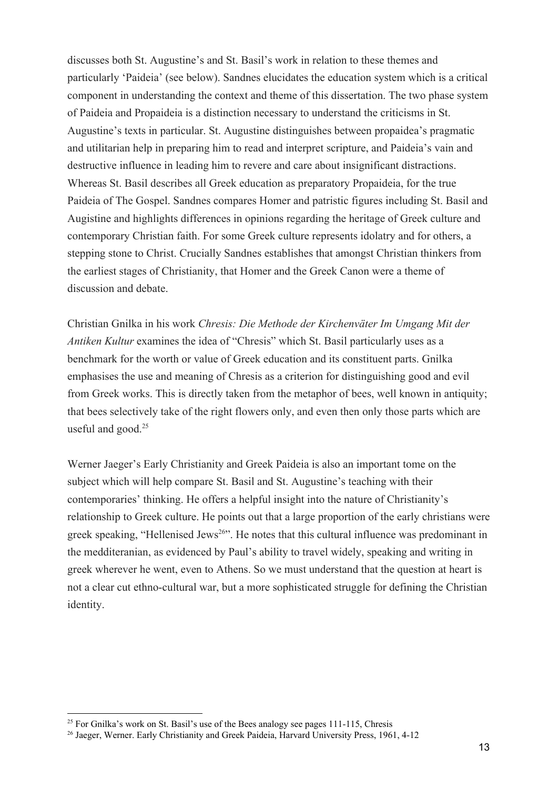discusses both St. Augustine's and St. Basil's work in relation to these themes and particularly 'Paideia' (see below). Sandnes elucidates the education system which is a critical component in understanding the context and theme of this dissertation. The two phase system of Paideia and Propaideia is a distinction necessary to understand the criticisms in St. Augustine's texts in particular. St. Augustine distinguishes between propaidea's pragmatic and utilitarian help in preparing him to read and interpret scripture, and Paideia's vain and destructive influence in leading him to revere and care about insignificant distractions. Whereas St. Basil describes all Greek education as preparatory Propaideia, for the true Paideia of The Gospel. Sandnes compares Homer and patristic figures including St. Basil and Augistine and highlights differences in opinions regarding the heritage of Greek culture and contemporary Christian faith. For some Greek culture represents idolatry and for others, a stepping stone to Christ. Crucially Sandnes establishes that amongst Christian thinkers from the earliest stages of Christianity, that Homer and the Greek Canon were a theme of discussion and debate.

Christian Gnilka in his work *Chresis: Die Methode der Kirchenväter Im Umgang Mit der Antiken Kultur* examines the idea of "Chresis" which St. Basil particularly uses as a benchmark for the worth or value of Greek education and its constituent parts. Gnilka emphasises the use and meaning of Chresis as a criterion for distinguishing good and evil from Greek works. This is directly taken from the metaphor of bees, well known in antiquity; that bees selectively take of the right flowers only, and even then only those parts which are useful and good.<sup>25</sup>

Werner Jaeger's Early Christianity and Greek Paideia is also an important tome on the subject which will help compare St. Basil and St. Augustine's teaching with their contemporaries' thinking. He offers a helpful insight into the nature of Christianity's relationship to Greek culture. He points out that a large proportion of the early christians were greek speaking, "Hellenised Jews<sup>26</sup>". He notes that this cultural influence was predominant in the medditeranian, as evidenced by Paul's ability to travel widely, speaking and writing in greek wherever he went, even to Athens. So we must understand that the question at heart is not a clear cut ethno-cultural war, but a more sophisticated struggle for defining the Christian identity.

 $25$  For Gnilka's work on St. Basil's use of the Bees analogy see pages 111-115, Chresis

<sup>&</sup>lt;sup>26</sup> Jaeger, Werner. Early Christianity and Greek Paideia, Harvard University Press, 1961, 4-12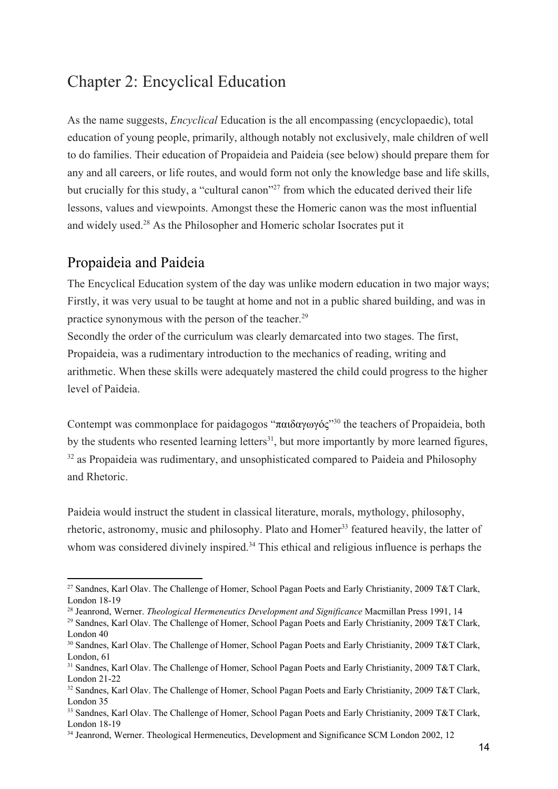# Chapter 2: Encyclical Education

As the name suggests, *Encyclical* Education is the all encompassing (encyclopaedic), total education of young people, primarily, although notably not exclusively, male children of well to do families. Their education of Propaideia and Paideia (see below) should prepare them for any and all careers, or life routes, and would form not only the knowledge base and life skills, but crucially for this study, a "cultural canon"<sup>27</sup> from which the educated derived their life lessons, values and viewpoints. Amongst these the Homeric canon was the most influential and widely used. $28$  As the Philosopher and Homeric scholar Isocrates put it

### Propaideia and Paideia

The Encyclical Education system of the day was unlike modern education in two major ways; Firstly, it was very usual to be taught at home and not in a public shared building, and was in practice synonymous with the person of the teacher.<sup>29</sup>

Secondly the order of the curriculum was clearly demarcated into two stages. The first, Propaideia, was a rudimentary introduction to the mechanics of reading, writing and arithmetic. When these skills were adequately mastered the child could progress to the higher level of Paideia.

Contempt was commonplace for paidagogos "παιδαγωγός"<sup>30</sup> the teachers of Propaideia, both by the students who resented learning letters $31$ , but more importantly by more learned figures,  $32$  as Propaideia was rudimentary, and unsophisticated compared to Paideia and Philosophy and Rhetoric.

Paideia would instruct the student in classical literature, morals, mythology, philosophy, rhetoric, astronomy, music and philosophy. Plato and Homer<sup>33</sup> featured heavily, the latter of whom was considered divinely inspired.<sup>34</sup> This ethical and religious influence is perhaps the

<sup>&</sup>lt;sup>27</sup> Sandnes, Karl Olav. The Challenge of Homer, School Pagan Poets and Early Christianity, 2009 T&T Clark, London 18-19

<sup>28</sup> Jeanrond, Werner. *Theological Hermeneutics Development and Significance* Macmillan Press 1991, 14

<sup>&</sup>lt;sup>29</sup> Sandnes, Karl Olav. The Challenge of Homer, School Pagan Poets and Early Christianity, 2009 T&T Clark, London 40

<sup>&</sup>lt;sup>30</sup> Sandnes, Karl Olav. The Challenge of Homer, School Pagan Poets and Early Christianity, 2009 T&T Clark, London, 61

<sup>&</sup>lt;sup>31</sup> Sandnes, Karl Olav. The Challenge of Homer, School Pagan Poets and Early Christianity, 2009 T&T Clark, London 21-22

<sup>&</sup>lt;sup>32</sup> Sandnes, Karl Olav. The Challenge of Homer, School Pagan Poets and Early Christianity, 2009 T&T Clark, London 35

<sup>&</sup>lt;sup>33</sup> Sandnes, Karl Olav. The Challenge of Homer, School Pagan Poets and Early Christianity, 2009 T&T Clark, London 18-19

<sup>&</sup>lt;sup>34</sup> Jeanrond, Werner. Theological Hermeneutics, Development and Significance SCM London 2002, 12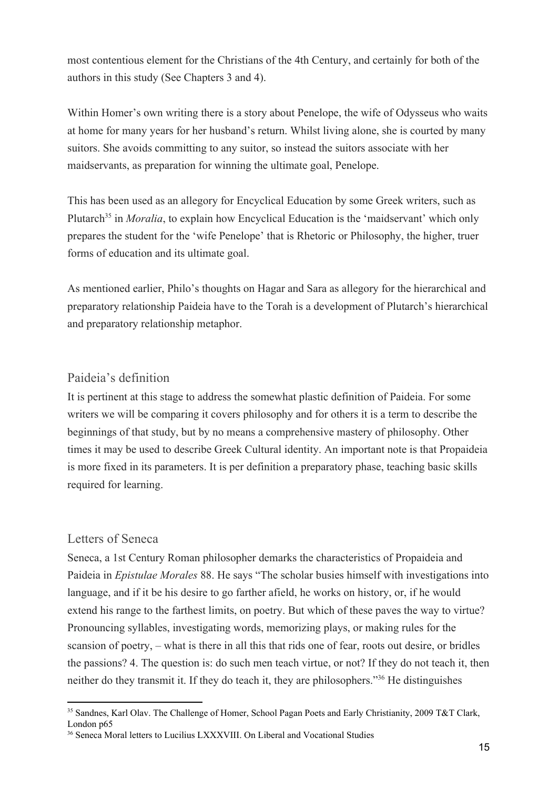most contentious element for the Christians of the 4th Century, and certainly for both of the authors in this study (See Chapters 3 and 4).

Within Homer's own writing there is a story about Penelope, the wife of Odysseus who waits at home for many years for her husband's return. Whilst living alone, she is courted by many suitors. She avoids committing to any suitor, so instead the suitors associate with her maidservants, as preparation for winning the ultimate goal, Penelope.

This has been used as an allegory for Encyclical Education by some Greek writers, such as Plutarch<sup>35</sup> in *Moralia*, to explain how Encyclical Education is the 'maidservant' which only prepares the student for the 'wife Penelope' that is Rhetoric or Philosophy, the higher, truer forms of education and its ultimate goal.

As mentioned earlier, Philo's thoughts on Hagar and Sara as allegory for the hierarchical and preparatory relationship Paideia have to the Torah is a development of Plutarch's hierarchical and preparatory relationship metaphor.

#### Paideia's definition

It is pertinent at this stage to address the somewhat plastic definition of Paideia. For some writers we will be comparing it covers philosophy and for others it is a term to describe the beginnings of that study, but by no means a comprehensive mastery of philosophy. Other times it may be used to describe Greek Cultural identity. An important note is that Propaideia is more fixed in its parameters. It is per definition a preparatory phase, teaching basic skills required for learning.

#### Letters of Seneca

Seneca, a 1st Century Roman philosopher demarks the characteristics of Propaideia and Paideia in *Epistulae Morales* 88. He says "The scholar busies himself with investigations into language, and if it be his desire to go farther afield, he works on history, or, if he would extend his range to the farthest limits, on poetry. But which of these paves the way to virtue? Pronouncing syllables, investigating words, memorizing plays, or making rules for the scansion of poetry, – what is there in all this that rids one of fear, roots out desire, or bridles the passions? 4. The question is: do such men teach virtue, or not? If they do not teach it, then neither do they transmit it. If they do teach it, they are philosophers."<sup>36</sup> He distinguishes

<sup>&</sup>lt;sup>35</sup> Sandnes, Karl Olav. The Challenge of Homer, School Pagan Poets and Early Christianity, 2009 T&T Clark, London p65

<sup>&</sup>lt;sup>36</sup> Seneca Moral letters to Lucilius LXXXVIII. On Liberal and Vocational Studies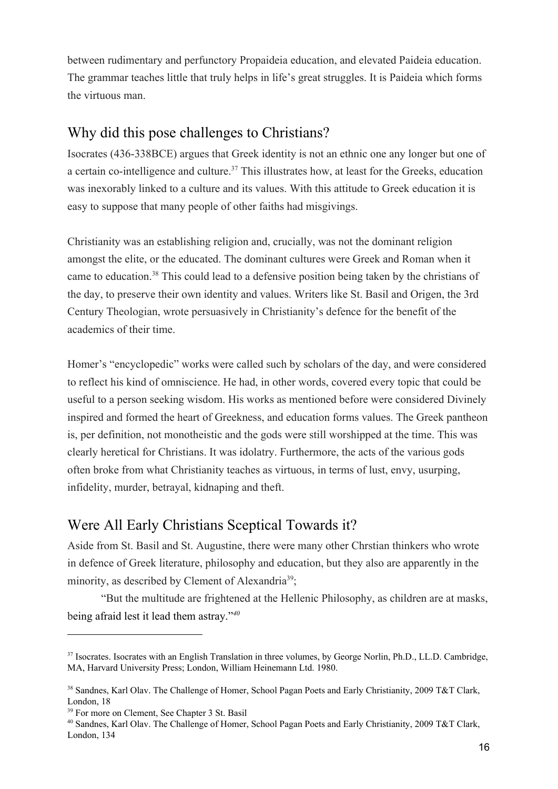between rudimentary and perfunctory Propaideia education, and elevated Paideia education. The grammar teaches little that truly helps in life's great struggles. It is Paideia which forms the virtuous man.

### Why did this pose challenges to Christians?

Isocrates (436-338BCE) argues that Greek identity is not an ethnic one any longer but one of a certain co-intelligence and culture.<sup> $37$ </sup> This illustrates how, at least for the Greeks, education was inexorably linked to a culture and its values. With this attitude to Greek education it is easy to suppose that many people of other faiths had misgivings.

Christianity was an establishing religion and, crucially, was not the dominant religion amongst the elite, or the educated. The dominant cultures were Greek and Roman when it came to education.<sup>38</sup> This could lead to a defensive position being taken by the christians of the day, to preserve their own identity and values. Writers like St. Basil and Origen, the 3rd Century Theologian, wrote persuasively in Christianity's defence for the benefit of the academics of their time.

Homer's "encyclopedic" works were called such by scholars of the day, and were considered to reflect his kind of omniscience. He had, in other words, covered every topic that could be useful to a person seeking wisdom. His works as mentioned before were considered Divinely inspired and formed the heart of Greekness, and education forms values. The Greek pantheon is, per definition, not monotheistic and the gods were still worshipped at the time. This was clearly heretical for Christians. It was idolatry. Furthermore, the acts of the various gods often broke from what Christianity teaches as virtuous, in terms of lust, envy, usurping, infidelity, murder, betrayal, kidnaping and theft.

## Were All Early Christians Sceptical Towards it?

Aside from St. Basil and St. Augustine, there were many other Chrstian thinkers who wrote in defence of Greek literature, philosophy and education, but they also are apparently in the minority, as described by Clement of Alexandria<sup>39</sup>;

"But the multitude are frightened at the Hellenic Philosophy, as children are at masks, being afraid lest it lead them astray."*<sup>40</sup>*

<sup>&</sup>lt;sup>37</sup> Isocrates. Isocrates with an English Translation in three volumes, by George Norlin, Ph.D., LL.D. Cambridge, MA, Harvard University Press; London, William Heinemann Ltd. 1980.

<sup>&</sup>lt;sup>38</sup> Sandnes, Karl Olav. The Challenge of Homer, School Pagan Poets and Early Christianity, 2009 T&T Clark, London, 18

<sup>&</sup>lt;sup>39</sup> For more on Clement, See Chapter 3 St. Basil

<sup>40</sup> Sandnes, Karl Olav. The Challenge of Homer, School Pagan Poets and Early Christianity, 2009 T&T Clark, London, 134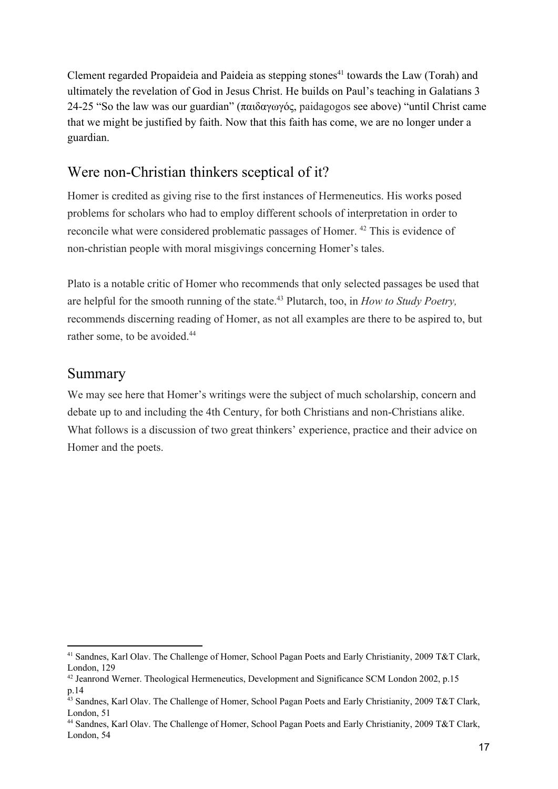Clement regarded Propaideia and Paideia as stepping stones<sup> $41$ </sup> towards the Law (Torah) and ultimately the revelation of God in Jesus Christ. He builds on Paul's teaching in Galatians 3 24-25 "So the law was our guardian" (παιδαγωγός, paidagogos see above) "until Christ came that we might be justified by faith. Now that this faith has come, we are no longer under a guardian.

### Were non-Christian thinkers sceptical of it?

Homer is credited as giving rise to the first instances of Hermeneutics. His works posed problems for scholars who had to employ different schools of interpretation in order to reconcile what were considered problematic passages of Homer. <sup>42</sup> This is evidence of non-christian people with moral misgivings concerning Homer's tales.

Plato is a notable critic of Homer who recommends that only selected passages be used that are helpful for the smooth running of the state.<sup>43</sup> Plutarch, too, in *How to Study Poetry*, recommends discerning reading of Homer, as not all examples are there to be aspired to, but rather some, to be avoided.<sup>44</sup>

#### Summary

We may see here that Homer's writings were the subject of much scholarship, concern and debate up to and including the 4th Century, for both Christians and non-Christians alike. What follows is a discussion of two great thinkers' experience, practice and their advice on Homer and the poets.

<sup>41</sup> Sandnes, Karl Olav. The Challenge of Homer, School Pagan Poets and Early Christianity, 2009 T&T Clark, London, 129

<sup>&</sup>lt;sup>42</sup> Jeanrond Werner. Theological Hermeneutics, Development and Significance SCM London 2002, p.15 p.14

 $^{43}$  Sandnes, Karl Olav. The Challenge of Homer, School Pagan Poets and Early Christianity, 2009 T&T Clark, London, 51

<sup>44</sup> Sandnes, Karl Olav. The Challenge of Homer, School Pagan Poets and Early Christianity, 2009 T&T Clark, London, 54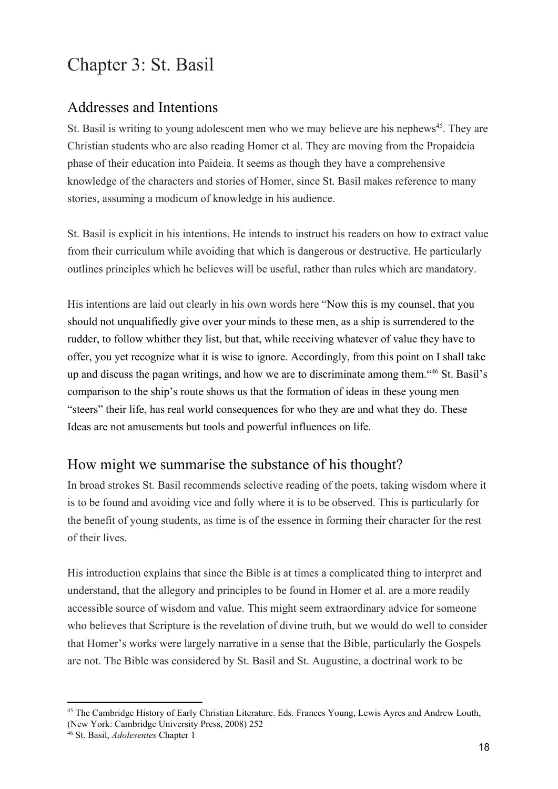# Chapter 3: St. Basil

## Addresses and Intentions

St. Basil is writing to young adolescent men who we may believe are his nephews<sup>45</sup>. They are Christian students who are also reading Homer et al. They are moving from the Propaideia phase of their education into Paideia. It seems as though they have a comprehensive knowledge of the characters and stories of Homer, since St. Basil makes reference to many stories, assuming a modicum of knowledge in his audience.

St. Basil is explicit in his intentions. He intends to instruct his readers on how to extract value from their curriculum while avoiding that which is dangerous or destructive. He particularly outlines principles which he believes will be useful, rather than rules which are mandatory.

His intentions are laid out clearly in his own words here "Now this is my counsel, that you should not unqualifiedly give over your minds to these men, as a ship is surrendered to the rudder, to follow whither they list, but that, while receiving whatever of value they have to offer, you yet recognize what it is wise to ignore. Accordingly, from this point on I shall take up and discuss the pagan writings, and how we are to discriminate among them. "46 St. Basil's comparison to the ship's route shows us that the formation of ideas in these young men "steers" their life, has real world consequences for who they are and what they do. These Ideas are not amusements but tools and powerful influences on life.

## How might we summarise the substance of his thought?

In broad strokes St. Basil recommends selective reading of the poets, taking wisdom where it is to be found and avoiding vice and folly where it is to be observed. This is particularly for the benefit of young students, as time is of the essence in forming their character for the rest of their lives.

His introduction explains that since the Bible is at times a complicated thing to interpret and understand, that the allegory and principles to be found in Homer et al. are a more readily accessible source of wisdom and value. This might seem extraordinary advice for someone who believes that Scripture is the revelation of divine truth, but we would do well to consider that Homer's works were largely narrative in a sense that the Bible, particularly the Gospels are not. The Bible was considered by St. Basil and St. Augustine, a doctrinal work to be

<sup>45</sup> The Cambridge History of Early Christian Literature. Eds. Frances Young, Lewis Ayres and Andrew Louth, (New York: Cambridge University Press, 2008) 252

<sup>46</sup> St. Basil, *Adolesentes* Chapter 1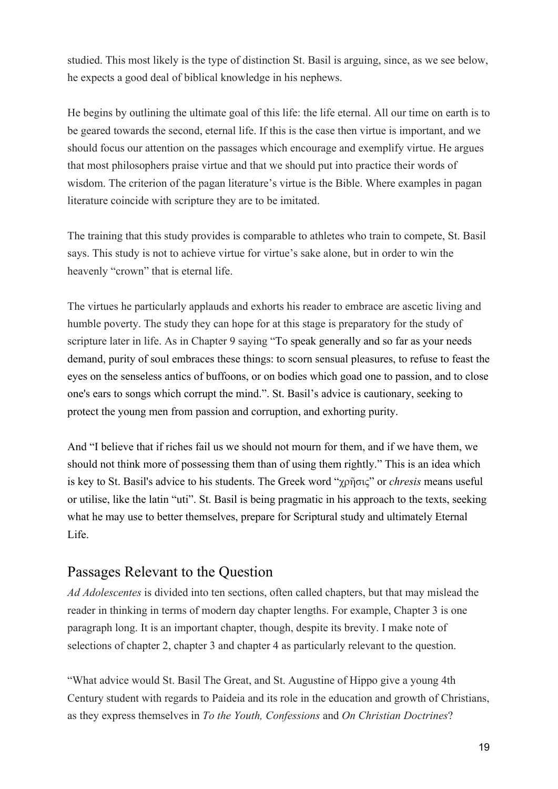studied. This most likely is the type of distinction St. Basil is arguing, since, as we see below, he expects a good deal of biblical knowledge in his nephews.

He begins by outlining the ultimate goal of this life: the life eternal. All our time on earth is to be geared towards the second, eternal life. If this is the case then virtue is important, and we should focus our attention on the passages which encourage and exemplify virtue. He argues that most philosophers praise virtue and that we should put into practice their words of wisdom. The criterion of the pagan literature's virtue is the Bible. Where examples in pagan literature coincide with scripture they are to be imitated.

The training that this study provides is comparable to athletes who train to compete, St. Basil says. This study is not to achieve virtue for virtue's sake alone, but in order to win the heavenly "crown" that is eternal life.

The virtues he particularly applauds and exhorts his reader to embrace are ascetic living and humble poverty. The study they can hope for at this stage is preparatory for the study of scripture later in life. As in Chapter 9 saying "To speak generally and so far as your needs demand, purity of soul embraces these things: to scorn sensual pleasures, to refuse to feast the eyes on the senseless antics of buffoons, or on bodies which goad one to passion, and to close one's ears to songs which corrupt the mind.". St. Basil's advice is cautionary, seeking to protect the young men from passion and corruption, and exhorting purity.

And "I believe that if riches fail us we should not mourn for them, and if we have them, we should not think more of possessing them than of using them rightly." This is an idea which is key to St. Basil's advice to his students. The Greek word "χρῆσις" or *chresis* means useful or utilise, like the latin "uti". St. Basil is being pragmatic in his approach to the texts, seeking what he may use to better themselves, prepare for Scriptural study and ultimately Eternal Life.

### Passages Relevant to the Question

*Ad Adolescentes* is divided into ten sections, often called chapters, but that may mislead the reader in thinking in terms of modern day chapter lengths. For example, Chapter 3 is one paragraph long. It is an important chapter, though, despite its brevity. I make note of selections of chapter 2, chapter 3 and chapter 4 as particularly relevant to the question.

"What advice would St. Basil The Great, and St. Augustine of Hippo give a young 4th Century student with regards to Paideia and its role in the education and growth of Christians, as they express themselves in *To the Youth, Confessions* and *On Christian Doctrines*?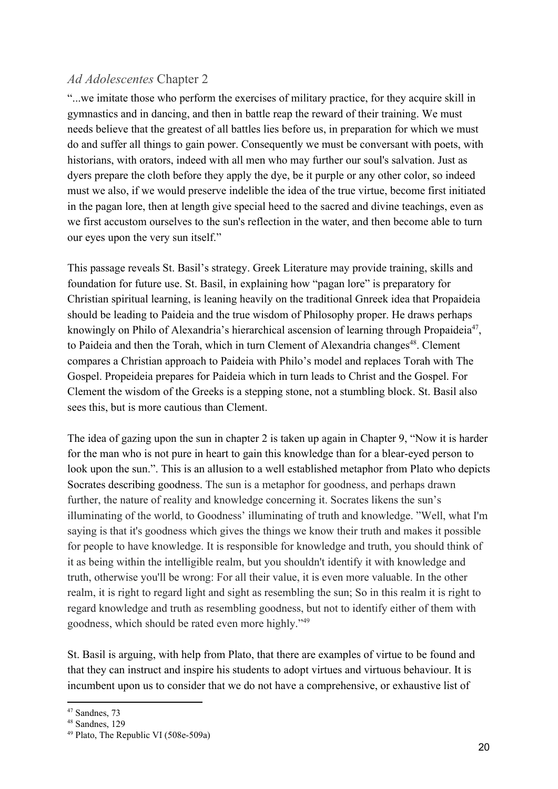#### *Ad Adolescentes* Chapter 2

"...we imitate those who perform the exercises of military practice, for they acquire skill in gymnastics and in dancing, and then in battle reap the reward of their training. We must needs believe that the greatest of all battles lies before us, in preparation for which we must do and suffer all things to gain power. Consequently we must be conversant with poets, with historians, with orators, indeed with all men who may further our soul's salvation. Just as dyers prepare the cloth before they apply the dye, be it purple or any other color, so indeed must we also, if we would preserve indelible the idea of the true virtue, become first initiated in the pagan lore, then at length give special heed to the sacred and divine teachings, even as we first accustom ourselves to the sun's reflection in the water, and then become able to turn our eyes upon the very sun itself."

This passage reveals St. Basil's strategy. Greek Literature may provide training, skills and foundation for future use. St. Basil, in explaining how "pagan lore" is preparatory for Christian spiritual learning, is leaning heavily on the traditional Gnreek idea that Propaideia should be leading to Paideia and the true wisdom of Philosophy proper. He draws perhaps knowingly on Philo of Alexandria's hierarchical ascension of learning through Propaideia<sup>47</sup>, to Paideia and then the Torah, which in turn Clement of Alexandria changes<sup>48</sup>. Clement compares a Christian approach to Paideia with Philo's model and replaces Torah with The Gospel. Propeideia prepares for Paideia which in turn leads to Christ and the Gospel. For Clement the wisdom of the Greeks is a stepping stone, not a stumbling block. St. Basil also sees this, but is more cautious than Clement.

The idea of gazing upon the sun in chapter 2 is taken up again in Chapter 9, "Now it is harder for the man who is not pure in heart to gain this knowledge than for a blear-eyed person to look upon the sun.". This is an allusion to a well established metaphor from Plato who depicts Socrates describing goodness. The sun is a metaphor for goodness, and perhaps drawn further, the nature of reality and knowledge concerning it. Socrates likens the sun's illuminating of the world, to Goodness' illuminating of truth and knowledge. "Well, what I'm saying is that it's goodness which gives the things we know their truth and makes it possible for people to have knowledge. It is responsible for knowledge and truth, you should think of it as being within the intelligible realm, but you shouldn't identify it with knowledge and truth, otherwise you'll be wrong: For all their value, it is even more valuable. In the other realm, it is right to regard light and sight as resembling the sun; So in this realm it is right to regard knowledge and truth as resembling goodness, but not to identify either of them with goodness, which should be rated even more highly."<sup>49</sup>

St. Basil is arguing, with help from Plato, that there are examples of virtue to be found and that they can instruct and inspire his students to adopt virtues and virtuous behaviour. It is incumbent upon us to consider that we do not have a comprehensive, or exhaustive list of

<sup>47</sup> Sandnes, 73

 $48$  Sandnes, 129

<sup>49</sup> Plato, The Republic VI (508e-509a)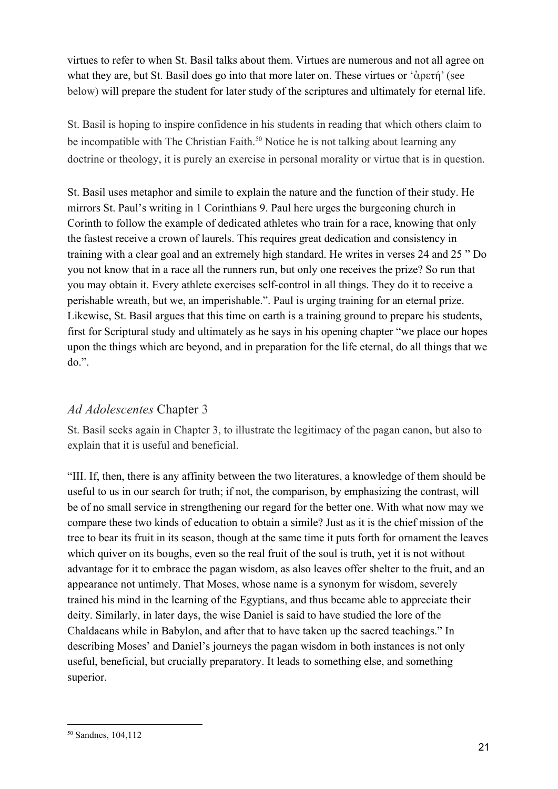virtues to refer to when St. Basil talks about them. Virtues are numerous and not all agree on what they are, but St. Basil does go into that more later on. These virtues or 'ἀρετή' (see below) will prepare the student for later study of the scriptures and ultimately for eternal life.

St. Basil is hoping to inspire confidence in his students in reading that which others claim to be incompatible with The Christian Faith.<sup>50</sup> Notice he is not talking about learning any doctrine or theology, it is purely an exercise in personal morality or virtue that is in question.

St. Basil uses metaphor and simile to explain the nature and the function of their study. He mirrors St. Paul's writing in 1 Corinthians 9. Paul here urges the burgeoning church in Corinth to follow the example of dedicated athletes who train for a race, knowing that only the fastest receive a crown of laurels. This requires great dedication and consistency in training with a clear goal and an extremely high standard. He writes in verses 24 and 25 " Do you not know that in a race all the runners run, but only one receives the prize? So run that you may obtain it. Every athlete exercises self-control in all things. They do it to receive a perishable wreath, but we, an imperishable.". Paul is urging training for an eternal prize. Likewise, St. Basil argues that this time on earth is a training ground to prepare his students, first for Scriptural study and ultimately as he says in his opening chapter "we place our hopes upon the things which are beyond, and in preparation for the life eternal, do all things that we do.".

### *Ad Adolescentes* Chapter 3

St. Basil seeks again in Chapter 3, to illustrate the legitimacy of the pagan canon, but also to explain that it is useful and beneficial.

"III. If, then, there is any affinity between the two literatures, a knowledge of them should be useful to us in our search for truth; if not, the comparison, by emphasizing the contrast, will be of no small service in strengthening our regard for the better one. With what now may we compare these two kinds of education to obtain a simile? Just as it is the chief mission of the tree to bear its fruit in its season, though at the same time it puts forth for ornament the leaves which quiver on its boughs, even so the real fruit of the soul is truth, yet it is not without advantage for it to embrace the pagan wisdom, as also leaves offer shelter to the fruit, and an appearance not untimely. That Moses, whose name is a synonym for wisdom, severely trained his mind in the learning of the Egyptians, and thus became able to appreciate their deity. Similarly, in later days, the wise Daniel is said to have studied the lore of the Chaldaeans while in Babylon, and after that to have taken up the sacred teachings." In describing Moses' and Daniel's journeys the pagan wisdom in both instances is not only useful, beneficial, but crucially preparatory. It leads to something else, and something superior.

<sup>50</sup> Sandnes, 104,112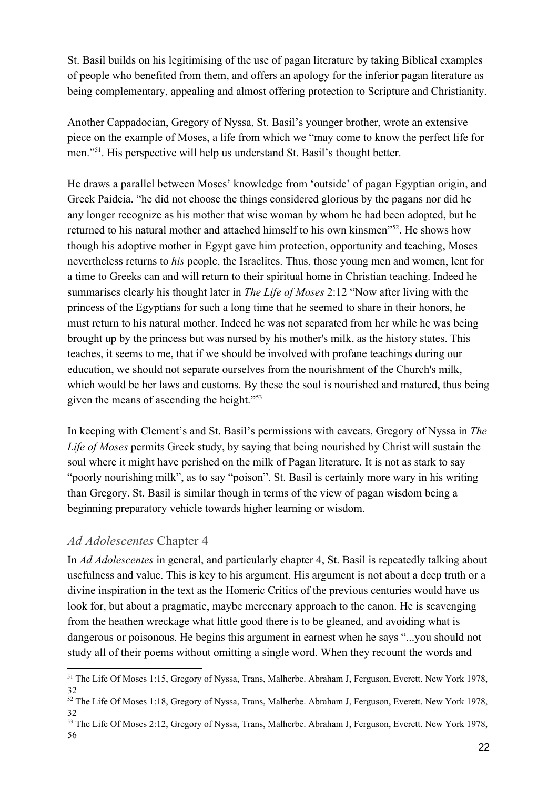St. Basil builds on his legitimising of the use of pagan literature by taking Biblical examples of people who benefited from them, and offers an apology for the inferior pagan literature as being complementary, appealing and almost offering protection to Scripture and Christianity.

Another Cappadocian, Gregory of Nyssa, St. Basil's younger brother, wrote an extensive piece on the example of Moses, a life from which we "may come to know the perfect life for men."<sup>51</sup>. His perspective will help us understand St. Basil's thought better.

He draws a parallel between Moses' knowledge from 'outside' of pagan Egyptian origin, and Greek Paideia. "he did not choose the things considered glorious by the pagans nor did he any longer recognize as his mother that wise woman by whom he had been adopted, but he returned to his natural mother and attached himself to his own kinsmen<sup>"52</sup>. He shows how though his adoptive mother in Egypt gave him protection, opportunity and teaching, Moses nevertheless returns to *his* people, the Israelites. Thus, those young men and women, lent for a time to Greeks can and will return to their spiritual home in Christian teaching. Indeed he summarises clearly his thought later in *The Life of Moses* 2:12 "Now after living with the princess of the Egyptians for such a long time that he seemed to share in their honors, he must return to his natural mother. Indeed he was not separated from her while he was being brought up by the princess but was nursed by his mother's milk, as the history states. This teaches, it seems to me, that if we should be involved with profane teachings during our education, we should not separate ourselves from the nourishment of the Church's milk, which would be her laws and customs. By these the soul is nourished and matured, thus being given the means of ascending the height."<sup>53</sup>

In keeping with Clement's and St. Basil's permissions with caveats, Gregory of Nyssa in *The Life of Moses* permits Greek study, by saying that being nourished by Christ will sustain the soul where it might have perished on the milk of Pagan literature. It is not as stark to say "poorly nourishing milk", as to say "poison". St. Basil is certainly more wary in his writing than Gregory. St. Basil is similar though in terms of the view of pagan wisdom being a beginning preparatory vehicle towards higher learning or wisdom.

#### *Ad Adolescentes* Chapter 4

In *Ad Adolescentes* in general, and particularly chapter 4, St. Basil is repeatedly talking about usefulness and value. This is key to his argument. His argument is not about a deep truth or a divine inspiration in the text as the Homeric Critics of the previous centuries would have us look for, but about a pragmatic, maybe mercenary approach to the canon. He is scavenging from the heathen wreckage what little good there is to be gleaned, and avoiding what is dangerous or poisonous. He begins this argument in earnest when he says "...you should not study all of their poems without omitting a single word. When they recount the words and

<sup>51</sup> The Life Of Moses 1:15, Gregory of Nyssa, Trans, Malherbe. Abraham J, Ferguson, Everett. New York 1978, 32

<sup>&</sup>lt;sup>52</sup> The Life Of Moses 1:18, Gregory of Nyssa, Trans, Malherbe. Abraham J, Ferguson, Everett. New York 1978, 32

<sup>53</sup> The Life Of Moses 2:12, Gregory of Nyssa, Trans, Malherbe. Abraham J, Ferguson, Everett. New York 1978, 56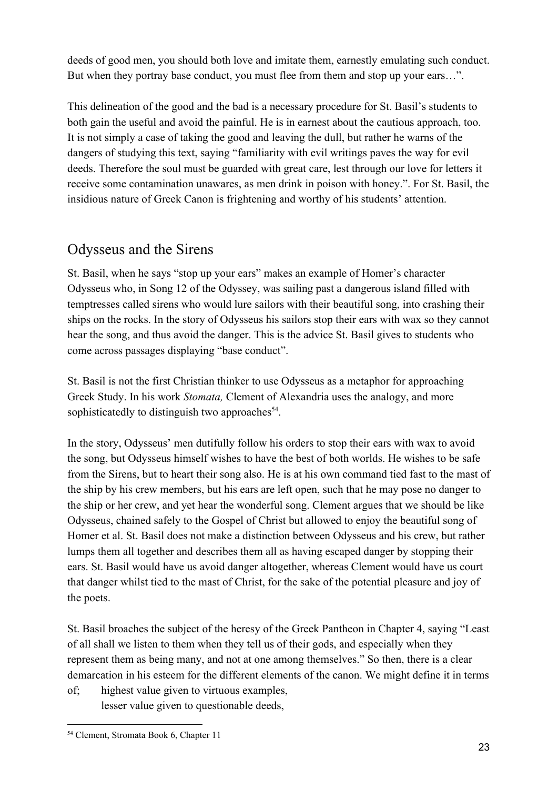deeds of good men, you should both love and imitate them, earnestly emulating such conduct. But when they portray base conduct, you must flee from them and stop up your ears…".

This delineation of the good and the bad is a necessary procedure for St. Basil's students to both gain the useful and avoid the painful. He is in earnest about the cautious approach, too. It is not simply a case of taking the good and leaving the dull, but rather he warns of the dangers of studying this text, saying "familiarity with evil writings paves the way for evil deeds. Therefore the soul must be guarded with great care, lest through our love for letters it receive some contamination unawares, as men drink in poison with honey.". For St. Basil, the insidious nature of Greek Canon is frightening and worthy of his students' attention.

## Odysseus and the Sirens

St. Basil, when he says "stop up your ears" makes an example of Homer's character Odysseus who, in Song 12 of the Odyssey, was sailing past a dangerous island filled with temptresses called sirens who would lure sailors with their beautiful song, into crashing their ships on the rocks. In the story of Odysseus his sailors stop their ears with wax so they cannot hear the song, and thus avoid the danger. This is the advice St. Basil gives to students who come across passages displaying "base conduct".

St. Basil is not the first Christian thinker to use Odysseus as a metaphor for approaching Greek Study. In his work *Stomata,* Clement of Alexandria uses the analogy, and more sophisticatedly to distinguish two approaches $<sup>54</sup>$ .</sup>

In the story, Odysseus' men dutifully follow his orders to stop their ears with wax to avoid the song, but Odysseus himself wishes to have the best of both worlds. He wishes to be safe from the Sirens, but to heart their song also. He is at his own command tied fast to the mast of the ship by his crew members, but his ears are left open, such that he may pose no danger to the ship or her crew, and yet hear the wonderful song. Clement argues that we should be like Odysseus, chained safely to the Gospel of Christ but allowed to enjoy the beautiful song of Homer et al. St. Basil does not make a distinction between Odysseus and his crew, but rather lumps them all together and describes them all as having escaped danger by stopping their ears. St. Basil would have us avoid danger altogether, whereas Clement would have us court that danger whilst tied to the mast of Christ, for the sake of the potential pleasure and joy of the poets.

St. Basil broaches the subject of the heresy of the Greek Pantheon in Chapter 4, saying "Least of all shall we listen to them when they tell us of their gods, and especially when they represent them as being many, and not at one among themselves." So then, there is a clear demarcation in his esteem for the different elements of the canon. We might define it in terms

of; highest value given to virtuous examples, lesser value given to questionable deeds,

<sup>54</sup> Clement, Stromata Book 6, Chapter 11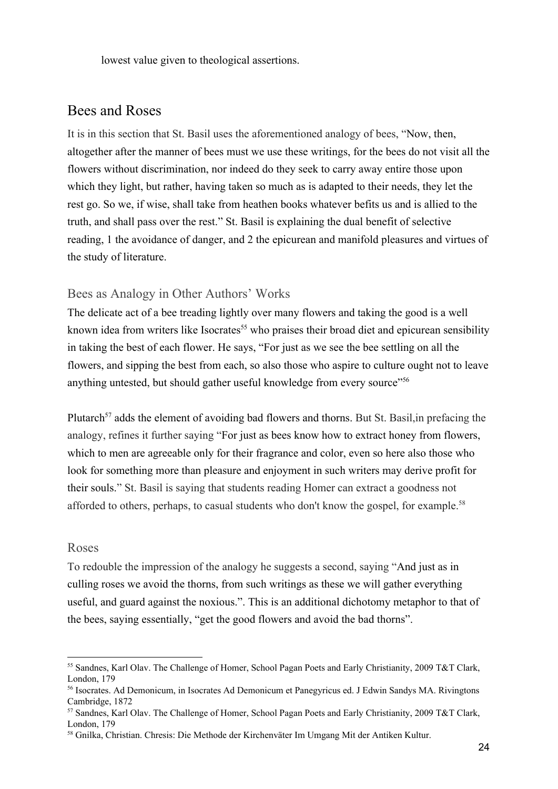lowest value given to theological assertions.

#### Bees and Roses

It is in this section that St. Basil uses the aforementioned analogy of bees, "Now, then, altogether after the manner of bees must we use these writings, for the bees do not visit all the flowers without discrimination, nor indeed do they seek to carry away entire those upon which they light, but rather, having taken so much as is adapted to their needs, they let the rest go. So we, if wise, shall take from heathen books whatever befits us and is allied to the truth, and shall pass over the rest." St. Basil is explaining the dual benefit of selective reading, 1 the avoidance of danger, and 2 the epicurean and manifold pleasures and virtues of the study of literature.

#### Bees as Analogy in Other Authors' Works

The delicate act of a bee treading lightly over many flowers and taking the good is a well known idea from writers like Isocrates<sup>55</sup> who praises their broad diet and epicurean sensibility in taking the best of each flower. He says, "For just as we see the bee settling on all the flowers, and sipping the best from each, so also those who aspire to culture ought not to leave anything untested, but should gather useful knowledge from every source"<sup>56</sup>

Plutarch<sup>57</sup> adds the element of avoiding bad flowers and thorns. But St. Basil, in prefacing the analogy, refines it further saying "For just as bees know how to extract honey from flowers, which to men are agreeable only for their fragrance and color, even so here also those who look for something more than pleasure and enjoyment in such writers may derive profit for their souls." St. Basil is saying that students reading Homer can extract a goodness not afforded to others, perhaps, to casual students who don't know the gospel, for example.<sup>58</sup>

#### Roses

To redouble the impression of the analogy he suggests a second, saying "And just as in culling roses we avoid the thorns, from such writings as these we will gather everything useful, and guard against the noxious.". This is an additional dichotomy metaphor to that of the bees, saying essentially, "get the good flowers and avoid the bad thorns".

<sup>55</sup> Sandnes, Karl Olav. The Challenge of Homer, School Pagan Poets and Early Christianity, 2009 T&T Clark, London, 179

<sup>56</sup> Isocrates. Ad Demonicum, in Isocrates Ad Demonicum et Panegyricus ed. J Edwin Sandys MA. Rivingtons Cambridge, 1872

<sup>57</sup> Sandnes, Karl Olav. The Challenge of Homer, School Pagan Poets and Early Christianity, 2009 T&T Clark, London, 179

<sup>58</sup> Gnilka, Christian. Chresis: Die Methode der Kirchenväter Im Umgang Mit der Antiken Kultur.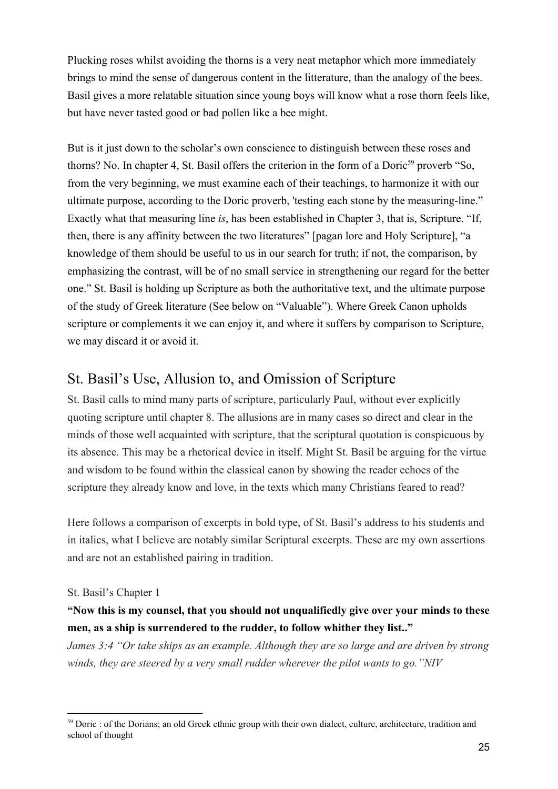Plucking roses whilst avoiding the thorns is a very neat metaphor which more immediately brings to mind the sense of dangerous content in the litterature, than the analogy of the bees. Basil gives a more relatable situation since young boys will know what a rose thorn feels like, but have never tasted good or bad pollen like a bee might.

But is it just down to the scholar's own conscience to distinguish between these roses and thorns? No. In chapter 4, St. Basil offers the criterion in the form of a Doric<sup>59</sup> proverb "So, from the very beginning, we must examine each of their teachings, to harmonize it with our ultimate purpose, according to the Doric proverb, 'testing each stone by the measuring-line." Exactly what that measuring line *is*, has been established in Chapter 3, that is, Scripture. "If, then, there is any affinity between the two literatures" [pagan lore and Holy Scripture], "a knowledge of them should be useful to us in our search for truth; if not, the comparison, by emphasizing the contrast, will be of no small service in strengthening our regard for the better one." St. Basil is holding up Scripture as both the authoritative text, and the ultimate purpose of the study of Greek literature (See below on "Valuable"). Where Greek Canon upholds scripture or complements it we can enjoy it, and where it suffers by comparison to Scripture, we may discard it or avoid it.

### St. Basil's Use, Allusion to, and Omission of Scripture

St. Basil calls to mind many parts of scripture, particularly Paul, without ever explicitly quoting scripture until chapter 8. The allusions are in many cases so direct and clear in the minds of those well acquainted with scripture, that the scriptural quotation is conspicuous by its absence. This may be a rhetorical device in itself. Might St. Basil be arguing for the virtue and wisdom to be found within the classical canon by showing the reader echoes of the scripture they already know and love, in the texts which many Christians feared to read?

Here follows a comparison of excerpts in bold type, of St. Basil's address to his students and in italics, what I believe are notably similar Scriptural excerpts. These are my own assertions and are not an established pairing in tradition.

#### St. Basil's Chapter 1

#### **"Now this is my counsel, that you should not unqualifiedly give over your minds to these men, as a ship is surrendered to the rudder, to follow whither they list.."**

*James 3:4 "Or take ships as an example. Although they are so large and are driven by strong winds, they are steered by a very small rudder wherever the pilot wants to go."NIV*

<sup>&</sup>lt;sup>59</sup> Doric : of the Dorians; an old Greek ethnic group with their own dialect, culture, architecture, tradition and school of thought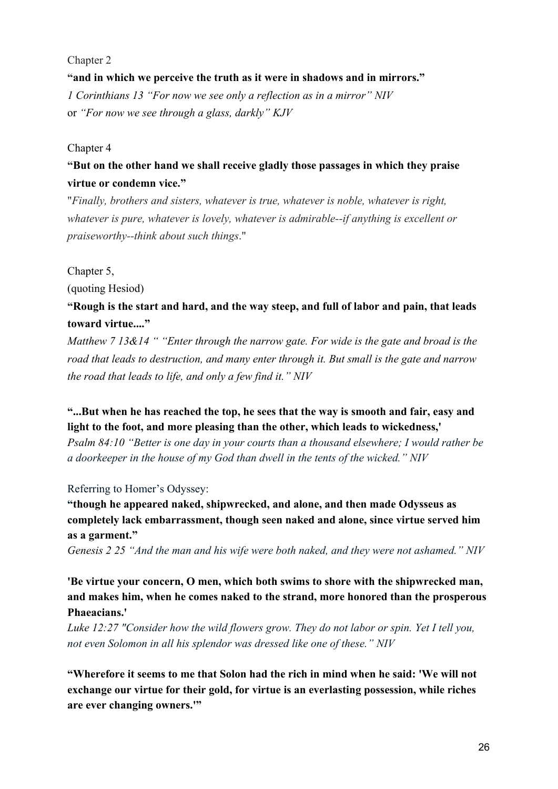#### Chapter 2

**"and in which we perceive the truth as it were in shadows and in mirrors."** *1 Corinthians 13 "For now we see only a reflection as in a mirror" NIV* or *"For now we see through a glass, darkly" KJV*

#### Chapter 4

#### **"But on the other hand we shall receive gladly those passages in which they praise virtue or condemn vice."**

"*Finally, brothers and sisters, whatever is true, whatever is noble, whatever is right, whatever is pure, whatever is lovely, whatever is admirable--if anything is excellent or praiseworthy--think about such things*."

#### Chapter 5,

(quoting Hesiod)

#### **"Rough is the start and hard, and the way steep, and full of labor and pain, that leads toward virtue...."**

*Matthew 7 13&14 " "Enter through the narrow gate. For wide is the gate and broad is the road that leads to destruction, and many enter through it. But small is the gate and narrow the road that leads to life, and only a few find it." NIV*

#### **"...But when he has reached the top, he sees that the way is smooth and fair, easy and light to the foot, and more pleasing than the other, which leads to wickedness,'**

*Psalm 84:10 "Better is one day in your courts than a thousand elsewhere; I would rather be a doorkeeper in the house of my God than dwell in the tents of the wicked." NIV*

#### Referring to Homer's Odyssey:

**"though he appeared naked, shipwrecked, and alone, and then made Odysseus as completely lack embarrassment, though seen naked and alone, since virtue served him as a garment."**

*Genesis 2 25 "And the man and his wife were both naked, and they were not ashamed." NIV*

#### **'Be virtue your concern, O men, which both swims to shore with the shipwrecked man, and makes him, when he comes naked to the strand, more honored than the prosperous Phaeacians.'**

*Luke 12:27 "Consider how the wild flowers grow. They do not labor or spin. Yet I tell you, not even Solomon in all his splendor was dressed like one of these." NIV*

**"Wherefore it seems to me that Solon had the rich in mind when he said: 'We will not exchange our virtue for their gold, for virtue is an everlasting possession, while riches are ever changing owners.'"**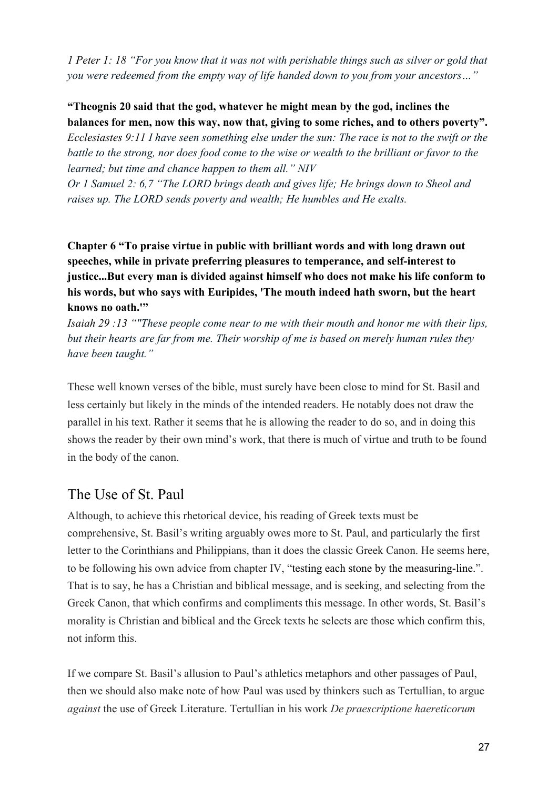*1 Peter 1: 18 "For you know that it was not with perishable things such as silver or gold that you were redeemed from the empty way of life handed down to you from your ancestors…"*

#### **"Theognis 20 said that the god, whatever he might mean by the god, inclines the balances for men, now this way, now that, giving to some riches, and to others poverty".**

*Ecclesiastes 9:11 I have seen something else under the sun: The race is not to the swift or the battle to the strong, nor does food come to the wise or wealth to the brilliant or favor to the learned; but time and chance happen to them all." NIV*

*Or 1 Samuel 2: 6,7 "The LORD brings death and gives life; He brings down to Sheol and raises up. The LORD sends poverty and wealth; He humbles and He exalts.*

#### **Chapter 6 "To praise virtue in public with brilliant words and with long drawn out speeches, while in private preferring pleasures to temperance, and self-interest to justice...But every man is divided against himself who does not make his life conform to his words, but who says with Euripides, 'The mouth indeed hath sworn, but the heart knows no oath.'"**

*Isaiah 29 :13 ""These people come near to me with their mouth and honor me with their lips, but their hearts are far from me. Their worship of me is based on merely human rules they have been taught."*

These well known verses of the bible, must surely have been close to mind for St. Basil and less certainly but likely in the minds of the intended readers. He notably does not draw the parallel in his text. Rather it seems that he is allowing the reader to do so, and in doing this shows the reader by their own mind's work, that there is much of virtue and truth to be found in the body of the canon.

## The Use of St. Paul

Although, to achieve this rhetorical device, his reading of Greek texts must be comprehensive, St. Basil's writing arguably owes more to St. Paul, and particularly the first letter to the Corinthians and Philippians, than it does the classic Greek Canon. He seems here, to be following his own advice from chapter IV, "testing each stone by the measuring-line.". That is to say, he has a Christian and biblical message, and is seeking, and selecting from the Greek Canon, that which confirms and compliments this message. In other words, St. Basil's morality is Christian and biblical and the Greek texts he selects are those which confirm this, not inform this.

If we compare St. Basil's allusion to Paul's athletics metaphors and other passages of Paul, then we should also make note of how Paul was used by thinkers such as Tertullian, to argue *against* the use of Greek Literature. Tertullian in his work *De praescriptione haereticorum*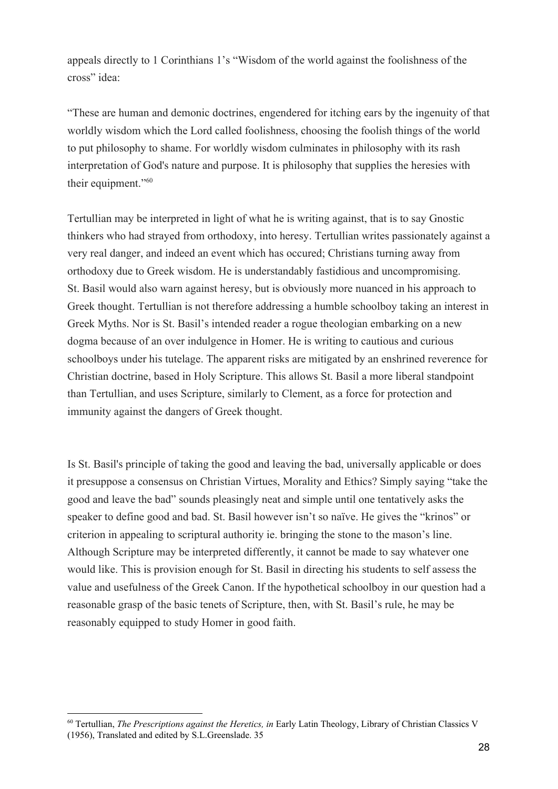appeals directly to 1 Corinthians 1's "Wisdom of the world against the foolishness of the cross" idea:

"These are human and demonic doctrines, engendered for itching ears by the ingenuity of that worldly wisdom which the Lord called foolishness, choosing the foolish things of the world to put philosophy to shame. For worldly wisdom culminates in philosophy with its rash interpretation of God's nature and purpose. It is philosophy that supplies the heresies with their equipment."<sup>60</sup>

Tertullian may be interpreted in light of what he is writing against, that is to say Gnostic thinkers who had strayed from orthodoxy, into heresy. Tertullian writes passionately against a very real danger, and indeed an event which has occured; Christians turning away from orthodoxy due to Greek wisdom. He is understandably fastidious and uncompromising. St. Basil would also warn against heresy, but is obviously more nuanced in his approach to Greek thought. Tertullian is not therefore addressing a humble schoolboy taking an interest in Greek Myths. Nor is St. Basil's intended reader a rogue theologian embarking on a new dogma because of an over indulgence in Homer. He is writing to cautious and curious schoolboys under his tutelage. The apparent risks are mitigated by an enshrined reverence for Christian doctrine, based in Holy Scripture. This allows St. Basil a more liberal standpoint than Tertullian, and uses Scripture, similarly to Clement, as a force for protection and immunity against the dangers of Greek thought.

Is St. Basil's principle of taking the good and leaving the bad, universally applicable or does it presuppose a consensus on Christian Virtues, Morality and Ethics? Simply saying "take the good and leave the bad" sounds pleasingly neat and simple until one tentatively asks the speaker to define good and bad. St. Basil however isn't so naïve. He gives the "krinos" or criterion in appealing to scriptural authority ie. bringing the stone to the mason's line. Although Scripture may be interpreted differently, it cannot be made to say whatever one would like. This is provision enough for St. Basil in directing his students to self assess the value and usefulness of the Greek Canon. If the hypothetical schoolboy in our question had a reasonable grasp of the basic tenets of Scripture, then, with St. Basil's rule, he may be reasonably equipped to study Homer in good faith.

<sup>60</sup> Tertullian, *The Prescriptions against the Heretics, in* Early Latin Theology, Library of Christian Classics V (1956), Translated and edited by S.L.Greenslade. 35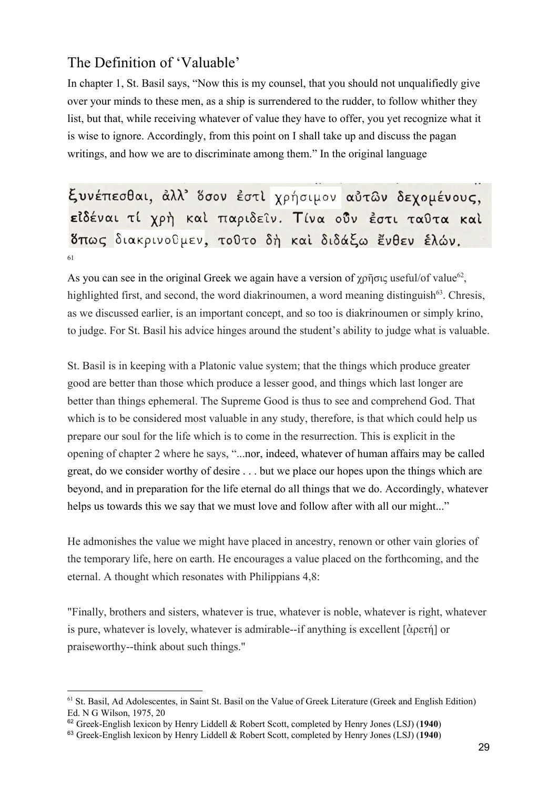# The Definition of 'Valuable'

In chapter 1, St. Basil says, "Now this is my counsel, that you should not unqualifiedly give over your minds to these men, as a ship is surrendered to the rudder, to follow whither they list, but that, while receiving whatever of value they have to offer, you yet recognize what it is wise to ignore. Accordingly, from this point on I shall take up and discuss the pagan writings, and how we are to discriminate among them." In the original language

ξυνέπεσθαι, άλλ' δσον έστι χρήσιμον αὐτων δεχομένους, είδέναι τί χρή και παριδείν. Τίνα ούν έστι ταθτα και δπως διακρινοθμεν, τοθτο δή και διδάξω ένθεν έλών. 61

As you can see in the original Greek we again have a version of  $\chi \rho \tilde{\eta}$ σις useful/of value<sup>62</sup>, highlighted first, and second, the word diakrinoumen, a word meaning distinguish<sup> $63$ </sup>. Chresis, as we discussed earlier, is an important concept, and so too is diakrinoumen or simply krino, to judge. For St. Basil his advice hinges around the student's ability to judge what is valuable.

St. Basil is in keeping with a Platonic value system; that the things which produce greater good are better than those which produce a lesser good, and things which last longer are better than things ephemeral. The Supreme Good is thus to see and comprehend God. That which is to be considered most valuable in any study, therefore, is that which could help us prepare our soul for the life which is to come in the resurrection. This is explicit in the opening of chapter 2 where he says, "...nor, indeed, whatever of human affairs may be called great, do we consider worthy of desire . . . but we place our hopes upon the things which are beyond, and in preparation for the life eternal do all things that we do. Accordingly, whatever helps us towards this we say that we must love and follow after with all our might..."

He admonishes the value we might have placed in ancestry, renown or other vain glories of the temporary life, here on earth. He encourages a value placed on the forthcoming, and the eternal. A thought which resonates with Philippians 4,8:

"Finally, brothers and sisters, whatever is true, whatever is noble, whatever is right, whatever is pure, whatever is lovely, whatever is admirable--if anything is excellent [ἀρετή] or praiseworthy--think about such things."

<sup>61</sup> St. Basil, Ad Adolescentes, in Saint St. Basil on the Value of Greek Literature (Greek and English Edition) Ed. N G Wilson, 1975, 20

<sup>62</sup> Greek-English lexicon by Henry Liddell & Robert Scott, completed by Henry Jones (LSJ) (**1940**)

<sup>63</sup> Greek-English lexicon by Henry Liddell & Robert Scott, completed by Henry Jones (LSJ) (**1940**)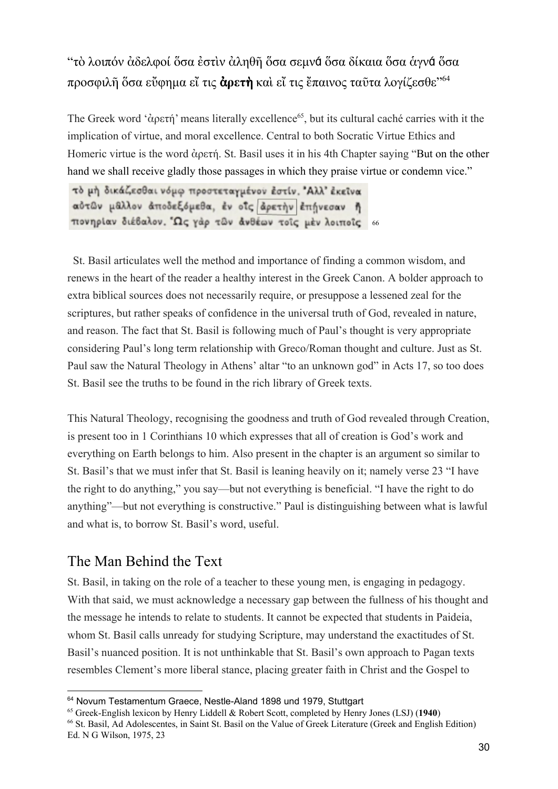# "τὸ λοιπόν ἀδελφοί ὅσα ἐστὶν ἀληθῆ ὅσα σεμνά ὅσα δίκαια ὅσα ἁγνά ὅσα προσφιλῆ ὅσα εὔφημα εἴ τις ἀ**ρετ**ὴ καὶ εἴ τις ἔπαινος ταῦτα λογίζεσθε" 64

The Greek word 'ἀρετή' means literally excellence<sup>65</sup>, but its cultural caché carries with it the implication of virtue, and moral excellence. Central to both Socratic Virtue Ethics and Homeric virtue is the word ἀρετή. St. Basil uses it in his 4th Chapter saying "But on the other hand we shall receive gladly those passages in which they praise virtue or condemn vice."

τό μή δικάζεσθαι νόμω προστεταγμένον έστίν. "Αλλ' έκεινα αύτων μαλλον άποδεξόμεθα, έν οΐς άρετην έπηνεσαν ή πονηρίαν διέβαλον. Ώς γάρ των άνθέων τοΐς μέν λοιποΐς 66

St. Basil articulates well the method and importance of finding a common wisdom, and renews in the heart of the reader a healthy interest in the Greek Canon. A bolder approach to extra biblical sources does not necessarily require, or presuppose a lessened zeal for the scriptures, but rather speaks of confidence in the universal truth of God, revealed in nature, and reason. The fact that St. Basil is following much of Paul's thought is very appropriate considering Paul's long term relationship with Greco/Roman thought and culture. Just as St. Paul saw the Natural Theology in Athens' altar "to an unknown god" in Acts 17, so too does St. Basil see the truths to be found in the rich library of Greek texts.

This Natural Theology, recognising the goodness and truth of God revealed through Creation, is present too in 1 Corinthians 10 which expresses that all of creation is God's work and everything on Earth belongs to him. Also present in the chapter is an argument so similar to St. Basil's that we must infer that St. Basil is leaning heavily on it; namely verse 23 "I have the right to do anything," you say—but not everything is beneficial. "I have the right to do anything"—but not everything is constructive." Paul is distinguishing between what is lawful and what is, to borrow St. Basil's word, useful.

## The Man Behind the Text

St. Basil, in taking on the role of a teacher to these young men, is engaging in pedagogy. With that said, we must acknowledge a necessary gap between the fullness of his thought and the message he intends to relate to students. It cannot be expected that students in Paideia, whom St. Basil calls unready for studying Scripture, may understand the exactitudes of St. Basil's nuanced position. It is not unthinkable that St. Basil's own approach to Pagan texts resembles Clement's more liberal stance, placing greater faith in Christ and the Gospel to

<sup>&</sup>lt;sup>64</sup> Novum Testamentum Graece, Nestle-Aland 1898 und 1979, Stuttgart

<sup>65</sup> Greek-English lexicon by Henry Liddell & Robert Scott, completed by Henry Jones (LSJ) (**1940**)

<sup>66</sup> St. Basil, Ad Adolescentes, in Saint St. Basil on the Value of Greek Literature (Greek and English Edition) Ed. N G Wilson, 1975, 23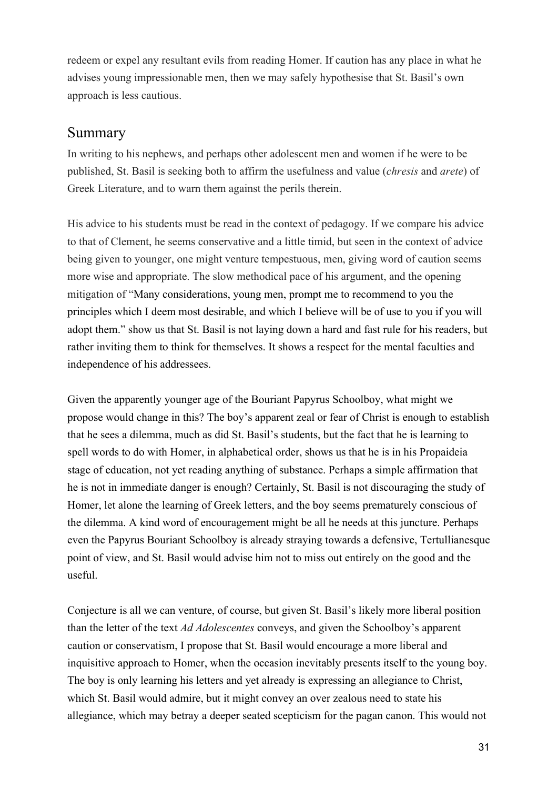redeem or expel any resultant evils from reading Homer. If caution has any place in what he advises young impressionable men, then we may safely hypothesise that St. Basil's own approach is less cautious.

#### Summary

In writing to his nephews, and perhaps other adolescent men and women if he were to be published, St. Basil is seeking both to affirm the usefulness and value (*chresis* and *arete*) of Greek Literature, and to warn them against the perils therein.

His advice to his students must be read in the context of pedagogy. If we compare his advice to that of Clement, he seems conservative and a little timid, but seen in the context of advice being given to younger, one might venture tempestuous, men, giving word of caution seems more wise and appropriate. The slow methodical pace of his argument, and the opening mitigation of "Many considerations, young men, prompt me to recommend to you the principles which I deem most desirable, and which I believe will be of use to you if you will adopt them." show us that St. Basil is not laying down a hard and fast rule for his readers, but rather inviting them to think for themselves. It shows a respect for the mental faculties and independence of his addressees.

Given the apparently younger age of the Bouriant Papyrus Schoolboy, what might we propose would change in this? The boy's apparent zeal or fear of Christ is enough to establish that he sees a dilemma, much as did St. Basil's students, but the fact that he is learning to spell words to do with Homer, in alphabetical order, shows us that he is in his Propaideia stage of education, not yet reading anything of substance. Perhaps a simple affirmation that he is not in immediate danger is enough? Certainly, St. Basil is not discouraging the study of Homer, let alone the learning of Greek letters, and the boy seems prematurely conscious of the dilemma. A kind word of encouragement might be all he needs at this juncture. Perhaps even the Papyrus Bouriant Schoolboy is already straying towards a defensive, Tertullianesque point of view, and St. Basil would advise him not to miss out entirely on the good and the useful.

Conjecture is all we can venture, of course, but given St. Basil's likely more liberal position than the letter of the text *Ad Adolescentes* conveys, and given the Schoolboy's apparent caution or conservatism, I propose that St. Basil would encourage a more liberal and inquisitive approach to Homer, when the occasion inevitably presents itself to the young boy. The boy is only learning his letters and yet already is expressing an allegiance to Christ, which St. Basil would admire, but it might convey an over zealous need to state his allegiance, which may betray a deeper seated scepticism for the pagan canon. This would not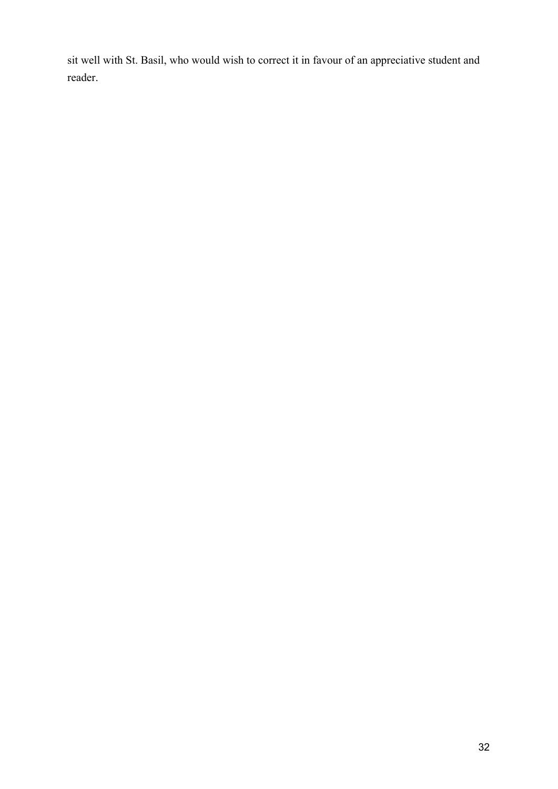sit well with St. Basil, who would wish to correct it in favour of an appreciative student and reader.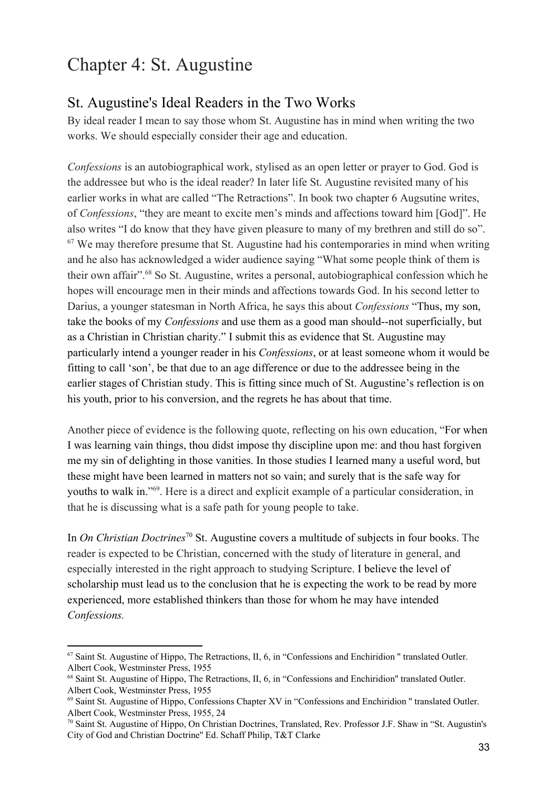# Chapter 4: St. Augustine

## St. Augustine's Ideal Readers in the Two Works

By ideal reader I mean to say those whom St. Augustine has in mind when writing the two works. We should especially consider their age and education.

*Confessions* is an autobiographical work, stylised as an open letter or prayer to God. God is the addressee but who is the ideal reader? In later life St. Augustine revisited many of his earlier works in what are called "The Retractions". In book two chapter 6 Augsutine writes, of *Confessions*, "they are meant to excite men's minds and affections toward him [God]". He also writes "I do know that they have given pleasure to many of my brethren and still do so".  $67$  We may therefore presume that St. Augustine had his contemporaries in mind when writing and he also has acknowledged a wider audience saying "What some people think of them is their own affair".<sup>68</sup> So St. Augustine, writes a personal, autobiographical confession which he hopes will encourage men in their minds and affections towards God. In his second letter to Darius, a younger statesman in North Africa, he says this about *Confessions* "Thus, my son, take the books of my *Confessions* and use them as a good man should--not superficially, but as a Christian in Christian charity." I submit this as evidence that St. Augustine may particularly intend a younger reader in his *Confessions*, or at least someone whom it would be fitting to call 'son', be that due to an age difference or due to the addressee being in the earlier stages of Christian study. This is fitting since much of St. Augustine's reflection is on his youth, prior to his conversion, and the regrets he has about that time.

Another piece of evidence is the following quote, reflecting on his own education, "For when I was learning vain things, thou didst impose thy discipline upon me: and thou hast forgiven me my sin of delighting in those vanities. In those studies I learned many a useful word, but these might have been learned in matters not so vain; and surely that is the safe way for youths to walk in."<sup>69</sup>. Here is a direct and explicit example of a particular consideration, in that he is discussing what is a safe path for young people to take.

In *On Christian Doctrines*<sup>70</sup> St. Augustine covers a multitude of subjects in four books. The reader is expected to be Christian, concerned with the study of literature in general, and especially interested in the right approach to studying Scripture. I believe the level of scholarship must lead us to the conclusion that he is expecting the work to be read by more experienced, more established thinkers than those for whom he may have intended *Confessions.*

<sup>67</sup> Saint St. Augustine of Hippo, The Retractions, II, 6, in "Confessions and Enchiridion '' translated Outler. Albert Cook, Westminster Press, 1955

<sup>68</sup> Saint St. Augustine of Hippo, The Retractions, II, 6, in "Confessions and Enchiridion'' translated Outler. Albert Cook, Westminster Press, 1955

<sup>69</sup> Saint St. Augustine of Hippo, Confessions Chapter XV in "Confessions and Enchiridion '' translated Outler. Albert Cook, Westminster Press, 1955, 24

<sup>70</sup> Saint St. Augustine of Hippo, On Christian Doctrines, Translated, Rev. Professor J.F. Shaw in "St. Augustin's City of God and Christian Doctrine'' Ed. Schaff Philip, T&T Clarke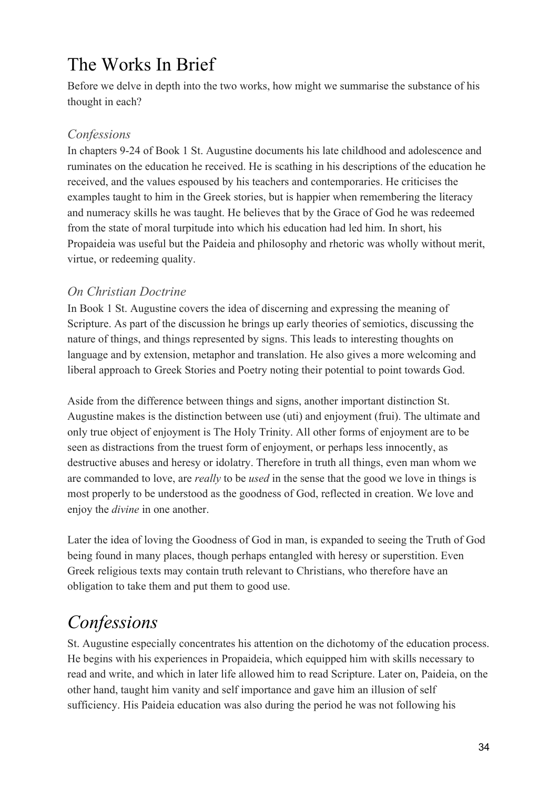# The Works In Brief

Before we delve in depth into the two works, how might we summarise the substance of his thought in each?

### *Confessions*

In chapters 9-24 of Book 1 St. Augustine documents his late childhood and adolescence and ruminates on the education he received. He is scathing in his descriptions of the education he received, and the values espoused by his teachers and contemporaries. He criticises the examples taught to him in the Greek stories, but is happier when remembering the literacy and numeracy skills he was taught. He believes that by the Grace of God he was redeemed from the state of moral turpitude into which his education had led him. In short, his Propaideia was useful but the Paideia and philosophy and rhetoric was wholly without merit, virtue, or redeeming quality.

#### *On Christian Doctrine*

In Book 1 St. Augustine covers the idea of discerning and expressing the meaning of Scripture. As part of the discussion he brings up early theories of semiotics, discussing the nature of things, and things represented by signs. This leads to interesting thoughts on language and by extension, metaphor and translation. He also gives a more welcoming and liberal approach to Greek Stories and Poetry noting their potential to point towards God.

Aside from the difference between things and signs, another important distinction St. Augustine makes is the distinction between use (uti) and enjoyment (frui). The ultimate and only true object of enjoyment is The Holy Trinity. All other forms of enjoyment are to be seen as distractions from the truest form of enjoyment, or perhaps less innocently, as destructive abuses and heresy or idolatry. Therefore in truth all things, even man whom we are commanded to love, are *really* to be *used* in the sense that the good we love in things is most properly to be understood as the goodness of God, reflected in creation. We love and enjoy the *divine* in one another.

Later the idea of loving the Goodness of God in man, is expanded to seeing the Truth of God being found in many places, though perhaps entangled with heresy or superstition. Even Greek religious texts may contain truth relevant to Christians, who therefore have an obligation to take them and put them to good use.

# *Confessions*

St. Augustine especially concentrates his attention on the dichotomy of the education process. He begins with his experiences in Propaideia, which equipped him with skills necessary to read and write, and which in later life allowed him to read Scripture. Later on, Paideia, on the other hand, taught him vanity and self importance and gave him an illusion of self sufficiency. His Paideia education was also during the period he was not following his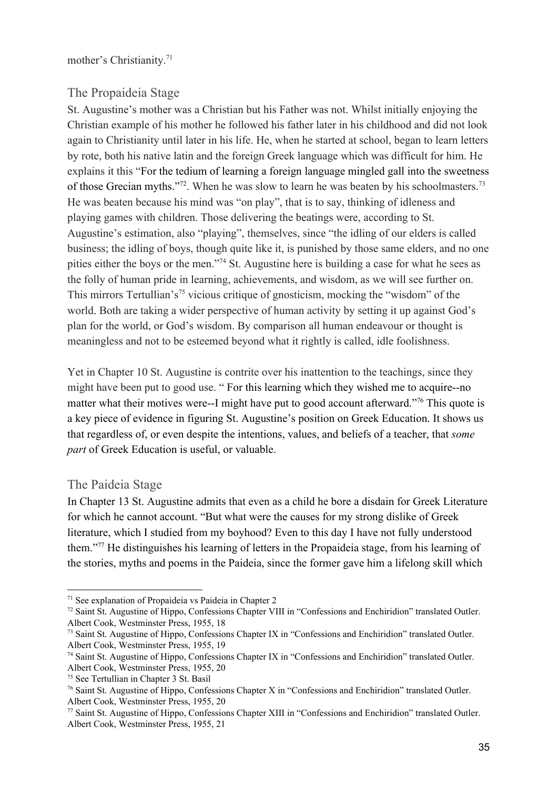mother's Christianity.<sup>71</sup>

#### The Propaideia Stage

St. Augustine's mother was a Christian but his Father was not. Whilst initially enjoying the Christian example of his mother he followed his father later in his childhood and did not look again to Christianity until later in his life. He, when he started at school, began to learn letters by rote, both his native latin and the foreign Greek language which was difficult for him. He explains it this "For the tedium of learning a foreign language mingled gall into the sweetness of those Grecian myths."<sup>72</sup>. When he was slow to learn he was beaten by his schoolmasters.<sup>73</sup> He was beaten because his mind was "on play", that is to say, thinking of idleness and playing games with children. Those delivering the beatings were, according to St. Augustine's estimation, also "playing", themselves, since "the idling of our elders is called business; the idling of boys, though quite like it, is punished by those same elders, and no one pities either the boys or the men."<sup>74</sup> St. Augustine here is building a case for what he sees as the folly of human pride in learning, achievements, and wisdom, as we will see further on. This mirrors Tertullian's<sup>75</sup> vicious critique of gnosticism, mocking the "wisdom" of the world. Both are taking a wider perspective of human activity by setting it up against God's plan for the world, or God's wisdom. By comparison all human endeavour or thought is meaningless and not to be esteemed beyond what it rightly is called, idle foolishness.

Yet in Chapter 10 St. Augustine is contrite over his inattention to the teachings, since they might have been put to good use. " For this learning which they wished me to acquire--no matter what their motives were--I might have put to good account afterward."<sup>76</sup> This quote is a key piece of evidence in figuring St. Augustine's position on Greek Education. It shows us that regardless of, or even despite the intentions, values, and beliefs of a teacher, that *some part* of Greek Education is useful, or valuable.

#### The Paideia Stage

In Chapter 13 St. Augustine admits that even as a child he bore a disdain for Greek Literature for which he cannot account. "But what were the causes for my strong dislike of Greek literature, which I studied from my boyhood? Even to this day I have not fully understood them."<sup>77</sup> He distinguishes his learning of letters in the Propaideia stage, from his learning of the stories, myths and poems in the Paideia, since the former gave him a lifelong skill which

<sup>71</sup> See explanation of Propaideia vs Paideia in Chapter 2

<sup>72</sup> Saint St. Augustine of Hippo, Confessions Chapter VIII in "Confessions and Enchiridion" translated Outler. Albert Cook, Westminster Press, 1955, 18

<sup>73</sup> Saint St. Augustine of Hippo, Confessions Chapter IX in "Confessions and Enchiridion" translated Outler. Albert Cook, Westminster Press, 1955, 19

<sup>74</sup> Saint St. Augustine of Hippo, Confessions Chapter IX in "Confessions and Enchiridion" translated Outler. Albert Cook, Westminster Press, 1955, 20

<sup>75</sup> See Tertullian in Chapter 3 St. Basil

<sup>76</sup> Saint St. Augustine of Hippo, Confessions Chapter X in "Confessions and Enchiridion" translated Outler. Albert Cook, Westminster Press, 1955, 20

<sup>77</sup> Saint St. Augustine of Hippo, Confessions Chapter XIII in "Confessions and Enchiridion" translated Outler. Albert Cook, Westminster Press, 1955, 21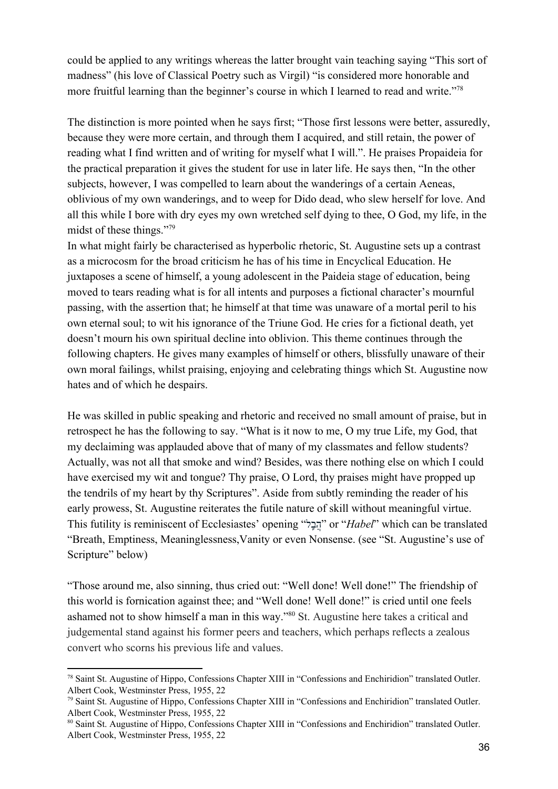could be applied to any writings whereas the latter brought vain teaching saying "This sort of madness" (his love of Classical Poetry such as Virgil) "is considered more honorable and more fruitful learning than the beginner's course in which I learned to read and write."<sup>78</sup>

The distinction is more pointed when he says first; "Those first lessons were better, assuredly, because they were more certain, and through them I acquired, and still retain, the power of reading what I find written and of writing for myself what I will.". He praises Propaideia for the practical preparation it gives the student for use in later life. He says then, "In the other subjects, however, I was compelled to learn about the wanderings of a certain Aeneas, oblivious of my own wanderings, and to weep for Dido dead, who slew herself for love. And all this while I bore with dry eyes my own wretched self dying to thee, O God, my life, in the midst of these things."<sup>79</sup>

In what might fairly be characterised as hyperbolic rhetoric, St. Augustine sets up a contrast as a microcosm for the broad criticism he has of his time in Encyclical Education. He juxtaposes a scene of himself, a young adolescent in the Paideia stage of education, being moved to tears reading what is for all intents and purposes a fictional character's mournful passing, with the assertion that; he himself at that time was unaware of a mortal peril to his own eternal soul; to wit his ignorance of the Triune God. He cries for a fictional death, yet doesn't mourn his own spiritual decline into oblivion. This theme continues through the following chapters. He gives many examples of himself or others, blissfully unaware of their own moral failings, whilst praising, enjoying and celebrating things which St. Augustine now hates and of which he despairs.

He was skilled in public speaking and rhetoric and received no small amount of praise, but in retrospect he has the following to say. "What is it now to me, O my true Life, my God, that my declaiming was applauded above that of many of my classmates and fellow students? Actually, was not all that smoke and wind? Besides, was there nothing else on which I could have exercised my wit and tongue? Thy praise, O Lord, thy praises might have propped up the tendrils of my heart by thy Scriptures". Aside from subtly reminding the reader of his early prowess, St. Augustine reiterates the futile nature of skill without meaningful virtue. This futility is reminiscent of Ecclesiastes' opening "ל֥בֵהֲ "or "*Habel*" which can be translated "Breath, Emptiness, Meaninglessness,Vanity or even Nonsense. (see "St. Augustine's use of Scripture" below)

"Those around me, also sinning, thus cried out: "Well done! Well done!" The friendship of this world is fornication against thee; and "Well done! Well done!" is cried until one feels ashamed not to show himself a man in this way."<sup>80</sup> St. Augustine here takes a critical and judgemental stand against his former peers and teachers, which perhaps reflects a zealous convert who scorns his previous life and values.

<sup>78</sup> Saint St. Augustine of Hippo, Confessions Chapter XIII in "Confessions and Enchiridion" translated Outler. Albert Cook, Westminster Press, 1955, 22

<sup>79</sup> Saint St. Augustine of Hippo, Confessions Chapter XIII in "Confessions and Enchiridion" translated Outler. Albert Cook, Westminster Press, 1955, 22

<sup>80</sup> Saint St. Augustine of Hippo, Confessions Chapter XIII in "Confessions and Enchiridion" translated Outler. Albert Cook, Westminster Press, 1955, 22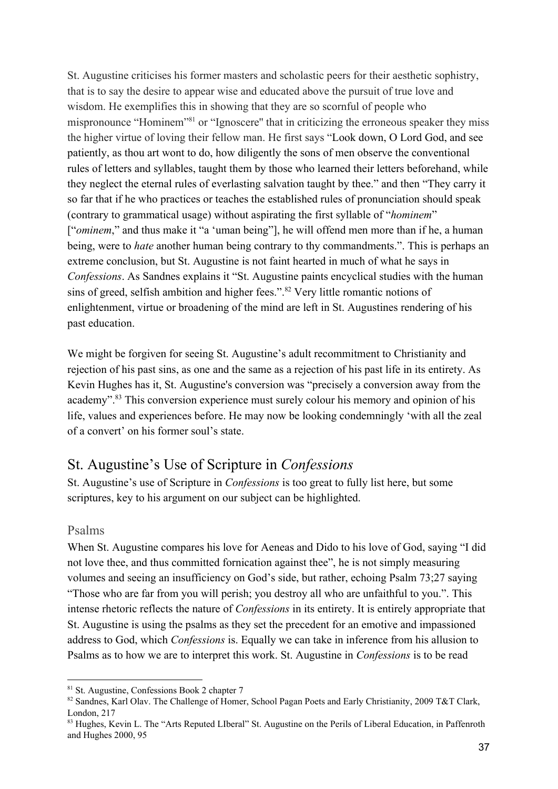St. Augustine criticises his former masters and scholastic peers for their aesthetic sophistry, that is to say the desire to appear wise and educated above the pursuit of true love and wisdom. He exemplifies this in showing that they are so scornful of people who mispronounce "Hominem"<sup>81</sup> or "Ignoscere" that in criticizing the erroneous speaker they miss the higher virtue of loving their fellow man. He first says "Look down, O Lord God, and see patiently, as thou art wont to do, how diligently the sons of men observe the conventional rules of letters and syllables, taught them by those who learned their letters beforehand, while they neglect the eternal rules of everlasting salvation taught by thee." and then "They carry it so far that if he who practices or teaches the established rules of pronunciation should speak (contrary to grammatical usage) without aspirating the first syllable of "*hominem*" ["*ominem*," and thus make it "a 'uman being"], he will offend men more than if he, a human being, were to *hate* another human being contrary to thy commandments.". This is perhaps an extreme conclusion, but St. Augustine is not faint hearted in much of what he says in *Confessions*. As Sandnes explains it "St. Augustine paints encyclical studies with the human sins of greed, selfish ambition and higher fees.".<sup>82</sup> Very little romantic notions of enlightenment, virtue or broadening of the mind are left in St. Augustines rendering of his past education.

We might be forgiven for seeing St. Augustine's adult recommitment to Christianity and rejection of his past sins, as one and the same as a rejection of his past life in its entirety. As Kevin Hughes has it, St. Augustine's conversion was "precisely a conversion away from the academy".<sup>83</sup> This conversion experience must surely colour his memory and opinion of his life, values and experiences before. He may now be looking condemningly 'with all the zeal of a convert' on his former soul's state.

## St. Augustine's Use of Scripture in *Confessions*

St. Augustine's use of Scripture in *Confessions* is too great to fully list here, but some scriptures, key to his argument on our subject can be highlighted.

#### Psalms

When St. Augustine compares his love for Aeneas and Dido to his love of God, saying "I did not love thee, and thus committed fornication against thee", he is not simply measuring volumes and seeing an insufficiency on God's side, but rather, echoing Psalm 73;27 saying "Those who are far from you will perish; you destroy all who are unfaithful to you.". This intense rhetoric reflects the nature of *Confessions* in its entirety. It is entirely appropriate that St. Augustine is using the psalms as they set the precedent for an emotive and impassioned address to God, which *Confessions* is. Equally we can take in inference from his allusion to Psalms as to how we are to interpret this work. St. Augustine in *Confessions* is to be read

<sup>81</sup> St. Augustine, Confessions Book 2 chapter 7

<sup>82</sup> Sandnes, Karl Olav. The Challenge of Homer, School Pagan Poets and Early Christianity, 2009 T&T Clark, London, 217

<sup>83</sup> Hughes, Kevin L. The "Arts Reputed LIberal" St. Augustine on the Perils of Liberal Education, in Paffenroth and Hughes 2000, 95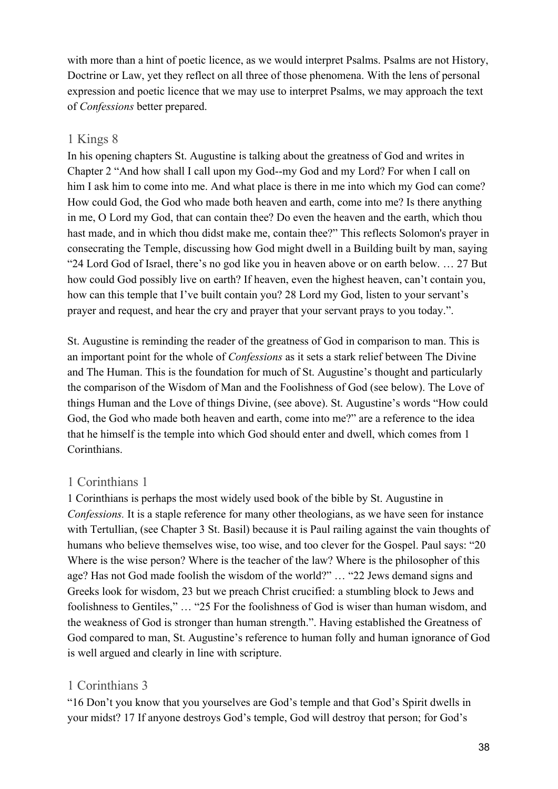with more than a hint of poetic licence, as we would interpret Psalms. Psalms are not History, Doctrine or Law, yet they reflect on all three of those phenomena. With the lens of personal expression and poetic licence that we may use to interpret Psalms, we may approach the text of *Confessions* better prepared.

#### 1 Kings 8

In his opening chapters St. Augustine is talking about the greatness of God and writes in Chapter 2 "And how shall I call upon my God--my God and my Lord? For when I call on him I ask him to come into me. And what place is there in me into which my God can come? How could God, the God who made both heaven and earth, come into me? Is there anything in me, O Lord my God, that can contain thee? Do even the heaven and the earth, which thou hast made, and in which thou didst make me, contain thee?" This reflects Solomon's prayer in consecrating the Temple, discussing how God might dwell in a Building built by man, saying "24 Lord God of Israel, there's no god like you in heaven above or on earth below. … 27 But how could God possibly live on earth? If heaven, even the highest heaven, can't contain you, how can this temple that I've built contain you? 28 Lord my God, listen to your servant's prayer and request, and hear the cry and prayer that your servant prays to you today.".

St. Augustine is reminding the reader of the greatness of God in comparison to man. This is an important point for the whole of *Confessions* as it sets a stark relief between The Divine and The Human. This is the foundation for much of St. Augustine's thought and particularly the comparison of the Wisdom of Man and the Foolishness of God (see below). The Love of things Human and the Love of things Divine, (see above). St. Augustine's words "How could God, the God who made both heaven and earth, come into me?" are a reference to the idea that he himself is the temple into which God should enter and dwell, which comes from 1 Corinthians.

#### 1 Corinthians 1

1 Corinthians is perhaps the most widely used book of the bible by St. Augustine in *Confessions.* It is a staple reference for many other theologians, as we have seen for instance with Tertullian, (see Chapter 3 St. Basil) because it is Paul railing against the vain thoughts of humans who believe themselves wise, too wise, and too clever for the Gospel. Paul says: "20 Where is the wise person? Where is the teacher of the law? Where is the philosopher of this age? Has not God made foolish the wisdom of the world?" … "22 Jews demand signs and Greeks look for wisdom, 23 but we preach Christ crucified: a stumbling block to Jews and foolishness to Gentiles," … "25 For the foolishness of God is wiser than human wisdom, and the weakness of God is stronger than human strength.". Having established the Greatness of God compared to man, St. Augustine's reference to human folly and human ignorance of God is well argued and clearly in line with scripture.

#### 1 Corinthians 3

"16 Don't you know that you yourselves are God's temple and that God's Spirit dwells in your midst? 17 If anyone destroys God's temple, God will destroy that person; for God's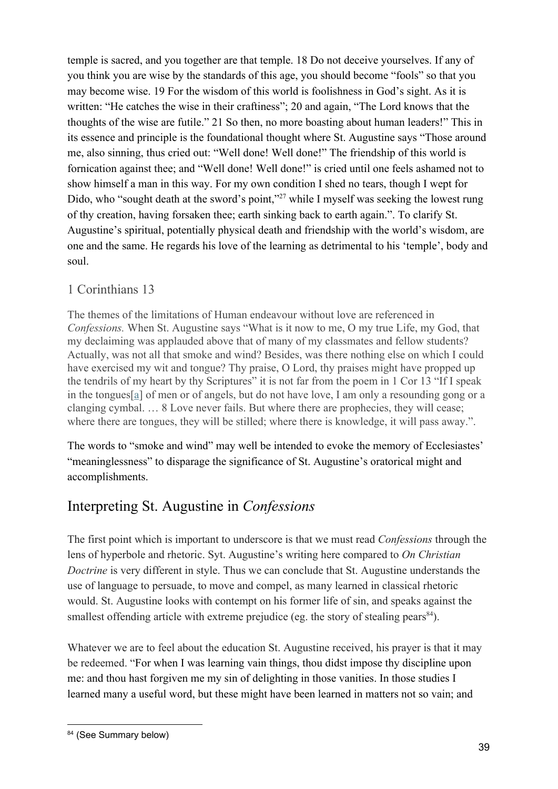temple is sacred, and you together are that temple. 18 Do not deceive yourselves. If any of you think you are wise by the standards of this age, you should become "fools" so that you may become wise. 19 For the wisdom of this world is foolishness in God's sight. As it is written: "He catches the wise in their craftiness"; 20 and again, "The Lord knows that the thoughts of the wise are futile." 21 So then, no more boasting about human leaders!" This in its essence and principle is the foundational thought where St. Augustine says "Those around me, also sinning, thus cried out: "Well done! Well done!" The friendship of this world is fornication against thee; and "Well done! Well done!" is cried until one feels ashamed not to show himself a man in this way. For my own condition I shed no tears, though I wept for Dido, who "sought death at the sword's point,"<sup>27</sup> while I myself was seeking the lowest rung of thy creation, having forsaken thee; earth sinking back to earth again.". To clarify St. Augustine's spiritual, potentially physical death and friendship with the world's wisdom, are one and the same. He regards his love of the learning as detrimental to his 'temple', body and soul.

### 1 Corinthians 13

The themes of the limitations of Human endeavour without love are referenced in *Confessions.* When St. Augustine says "What is it now to me, O my true Life, my God, that my declaiming was applauded above that of many of my classmates and fellow students? Actually, was not all that smoke and wind? Besides, was there nothing else on which I could have exercised my wit and tongue? Thy praise, O Lord, thy praises might have propped up the tendrils of my heart by thy Scriptures" it is not far from the poem in 1 Cor 13 "If I speak in the tongues[\[a\]](https://www.biblegateway.com/passage/?search=1+Corinthians+13&version=NIV#fen-NIV-28667a) of men or of angels, but do not have love, I am only a resounding gong or a clanging cymbal. … 8 Love never fails. But where there are prophecies, they will cease; where there are tongues, they will be stilled; where there is knowledge, it will pass away.".

The words to "smoke and wind" may well be intended to evoke the memory of Ecclesiastes' "meaninglessness" to disparage the significance of St. Augustine's oratorical might and accomplishments.

# Interpreting St. Augustine in *Confessions*

The first point which is important to underscore is that we must read *Confessions* through the lens of hyperbole and rhetoric. Syt. Augustine's writing here compared to *On Christian Doctrine* is very different in style. Thus we can conclude that St. Augustine understands the use of language to persuade, to move and compel, as many learned in classical rhetoric would. St. Augustine looks with contempt on his former life of sin, and speaks against the smallest offending article with extreme prejudice (eg. the story of stealing pears $^{84}$ ).

Whatever we are to feel about the education St. Augustine received, his prayer is that it may be redeemed. "For when I was learning vain things, thou didst impose thy discipline upon me: and thou hast forgiven me my sin of delighting in those vanities. In those studies I learned many a useful word, but these might have been learned in matters not so vain; and

<sup>84 (</sup>See Summary below)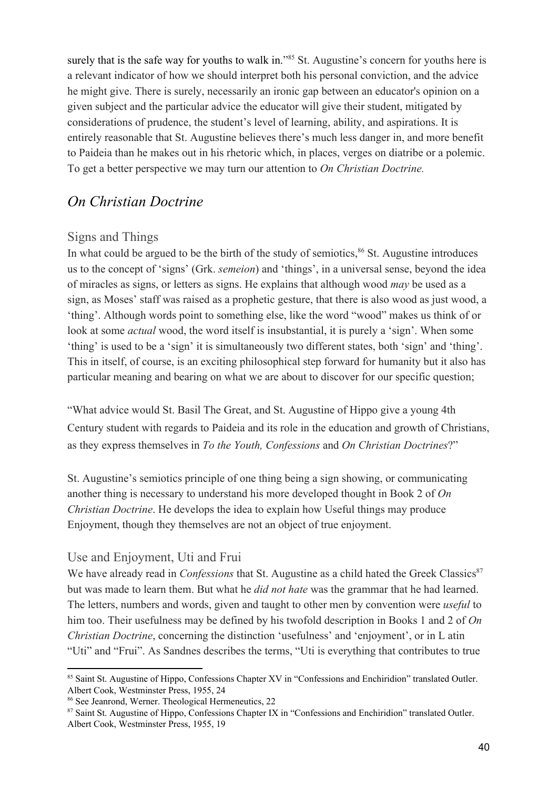surely that is the safe way for youths to walk in." $85$  St. Augustine's concern for youths here is a relevant indicator of how we should interpret both his personal conviction, and the advice he might give. There is surely, necessarily an ironic gap between an educator's opinion on a given subject and the particular advice the educator will give their student, mitigated by considerations of prudence, the student's level of learning, ability, and aspirations. It is entirely reasonable that St. Augustine believes there's much less danger in, and more benefit to Paideia than he makes out in his rhetoric which, in places, verges on diatribe or a polemic. To get a better perspective we may turn our attention to *On Christian Doctrine.*

### *On Christian Doctrine*

#### Signs and Things

In what could be argued to be the birth of the study of semiotics,  $86$  St. Augustine introduces us to the concept of 'signs' (Grk. *semeion*) and 'things', in a universal sense, beyond the idea of miracles as signs, or letters as signs. He explains that although wood *may* be used as a sign, as Moses' staff was raised as a prophetic gesture, that there is also wood as just wood, a 'thing'. Although words point to something else, like the word "wood" makes us think of or look at some *actual* wood, the word itself is insubstantial, it is purely a 'sign'. When some 'thing' is used to be a 'sign' it is simultaneously two different states, both 'sign' and 'thing'. This in itself, of course, is an exciting philosophical step forward for humanity but it also has particular meaning and bearing on what we are about to discover for our specific question;

"What advice would St. Basil The Great, and St. Augustine of Hippo give a young 4th Century student with regards to Paideia and its role in the education and growth of Christians, as they express themselves in *To the Youth, Confessions* and *On Christian Doctrines*?"

St. Augustine's semiotics principle of one thing being a sign showing, or communicating another thing is necessary to understand his more developed thought in Book 2 of *On Christian Doctrine*. He develops the idea to explain how Useful things may produce Enjoyment, though they themselves are not an object of true enjoyment.

#### Use and Enjoyment, Uti and Frui

We have already read in *Confessions* that St. Augustine as a child hated the Greek Classics<sup>87</sup> but was made to learn them. But what he *did not hate* was the grammar that he had learned. The letters, numbers and words, given and taught to other men by convention were *useful* to him too. Their usefulness may be defined by his twofold description in Books 1 and 2 of *On Christian Doctrine*, concerning the distinction 'usefulness' and 'enjoyment', or in L atin "Uti" and "Frui". As Sandnes describes the terms, "Uti is everything that contributes to true

<sup>85</sup> Saint St. Augustine of Hippo, Confessions Chapter XV in "Confessions and Enchiridion" translated Outler. Albert Cook, Westminster Press, 1955, 24

<sup>86</sup> See Jeanrond, Werner. Theological Hermeneutics, 22

<sup>87</sup> Saint St. Augustine of Hippo, Confessions Chapter IX in "Confessions and Enchiridion" translated Outler. Albert Cook, Westminster Press, 1955, 19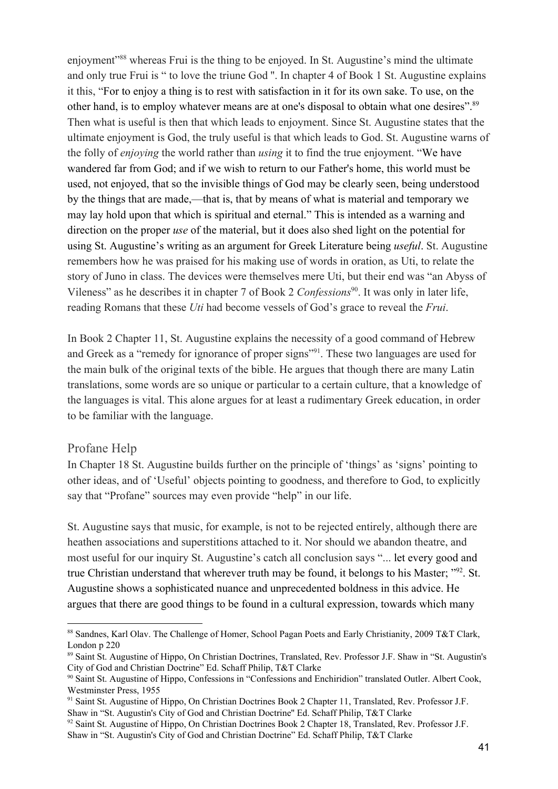enjoyment<sup>"88</sup> whereas Frui is the thing to be enjoyed. In St. Augustine's mind the ultimate and only true Frui is " to love the triune God ''. In chapter 4 of Book 1 St. Augustine explains it this, "For to enjoy a thing is to rest with satisfaction in it for its own sake. To use, on the other hand, is to employ whatever means are at one's disposal to obtain what one desires".<sup>89</sup> Then what is useful is then that which leads to enjoyment. Since St. Augustine states that the ultimate enjoyment is God, the truly useful is that which leads to God. St. Augustine warns of the folly of *enjoying* the world rather than *using* it to find the true enjoyment. "We have wandered far from God; and if we wish to return to our Father's home, this world must be used, not enjoyed, that so the invisible things of God may be clearly seen, being understood by the things that are made,—that is, that by means of what is material and temporary we may lay hold upon that which is spiritual and eternal." This is intended as a warning and direction on the proper *use* of the material, but it does also shed light on the potential for using St. Augustine's writing as an argument for Greek Literature being *useful*. St. Augustine remembers how he was praised for his making use of words in oration, as Uti, to relate the story of Juno in class. The devices were themselves mere Uti, but their end was "an Abyss of Vileness" as he describes it in chapter 7 of Book 2 *Confessions*<sup>90</sup>. It was only in later life, reading Romans that these *Uti* had become vessels of God's grace to reveal the *Frui*.

In Book 2 Chapter 11, St. Augustine explains the necessity of a good command of Hebrew and Greek as a "remedy for ignorance of proper signs"<sup>91</sup>. These two languages are used for the main bulk of the original texts of the bible. He argues that though there are many Latin translations, some words are so unique or particular to a certain culture, that a knowledge of the languages is vital. This alone argues for at least a rudimentary Greek education, in order to be familiar with the language.

#### Profane Help

In Chapter 18 St. Augustine builds further on the principle of 'things' as 'signs' pointing to other ideas, and of 'Useful' objects pointing to goodness, and therefore to God, to explicitly say that "Profane" sources may even provide "help" in our life.

St. Augustine says that music, for example, is not to be rejected entirely, although there are heathen associations and superstitions attached to it. Nor should we abandon theatre, and most useful for our inquiry St. Augustine's catch all conclusion says "... let every good and true Christian understand that wherever truth may be found, it belongs to his Master;  $\frac{1000}{2}$ . St. Augustine shows a sophisticated nuance and unprecedented boldness in this advice. He argues that there are good things to be found in a cultural expression, towards which many

<sup>88</sup> Sandnes, Karl Olav. The Challenge of Homer, School Pagan Poets and Early Christianity, 2009 T&T Clark, London p 220

<sup>89</sup> Saint St. Augustine of Hippo, On Christian Doctrines, Translated, Rev. Professor J.F. Shaw in "St. Augustin's City of God and Christian Doctrine" Ed. Schaff Philip, T&T Clarke

<sup>90</sup> Saint St. Augustine of Hippo, Confessions in "Confessions and Enchiridion" translated Outler. Albert Cook, Westminster Press, 1955

<sup>91</sup> Saint St. Augustine of Hippo, On Christian Doctrines Book 2 Chapter 11, Translated, Rev. Professor J.F. Shaw in "St. Augustin's City of God and Christian Doctrine'' Ed. Schaff Philip, T&T Clarke

<sup>92</sup> Saint St. Augustine of Hippo, On Christian Doctrines Book 2 Chapter 18, Translated, Rev. Professor J.F. Shaw in "St. Augustin's City of God and Christian Doctrine" Ed. Schaff Philip, T&T Clarke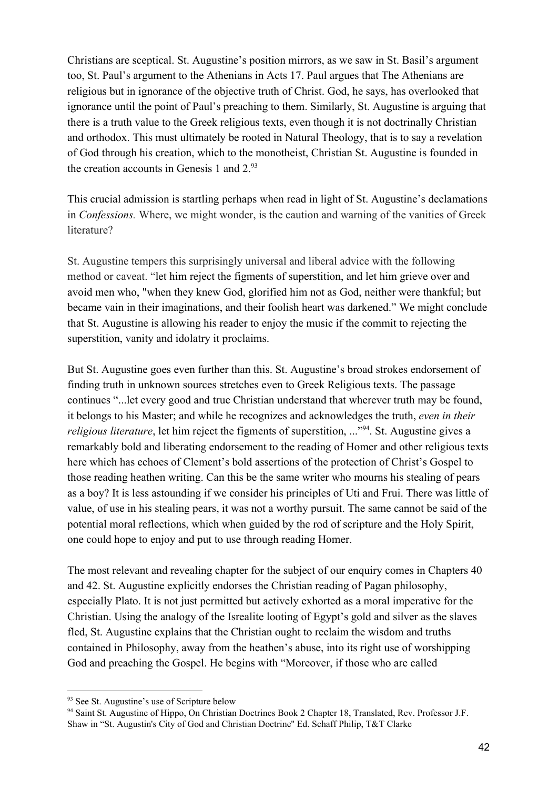Christians are sceptical. St. Augustine's position mirrors, as we saw in St. Basil's argument too, St. Paul's argument to the Athenians in Acts 17. Paul argues that The Athenians are religious but in ignorance of the objective truth of Christ. God, he says, has overlooked that ignorance until the point of Paul's preaching to them. Similarly, St. Augustine is arguing that there is a truth value to the Greek religious texts, even though it is not doctrinally Christian and orthodox. This must ultimately be rooted in Natural Theology, that is to say a revelation of God through his creation, which to the monotheist, Christian St. Augustine is founded in the creation accounts in Genesis 1 and  $2.^{93}$ 

This crucial admission is startling perhaps when read in light of St. Augustine's declamations in *Confessions.* Where, we might wonder, is the caution and warning of the vanities of Greek literature?

St. Augustine tempers this surprisingly universal and liberal advice with the following method or caveat. "let him reject the figments of superstition, and let him grieve over and avoid men who, "when they knew God, glorified him not as God, neither were thankful; but became vain in their imaginations, and their foolish heart was darkened." We might conclude that St. Augustine is allowing his reader to enjoy the music if the commit to rejecting the superstition, vanity and idolatry it proclaims.

But St. Augustine goes even further than this. St. Augustine's broad strokes endorsement of finding truth in unknown sources stretches even to Greek Religious texts. The passage continues "...let every good and true Christian understand that wherever truth may be found, it belongs to his Master; and while he recognizes and acknowledges the truth, *even in their religious literature*, let him reject the figments of superstition, ..."<sup>94</sup>. St. Augustine gives a remarkably bold and liberating endorsement to the reading of Homer and other religious texts here which has echoes of Clement's bold assertions of the protection of Christ's Gospel to those reading heathen writing. Can this be the same writer who mourns his stealing of pears as a boy? It is less astounding if we consider his principles of Uti and Frui. There was little of value, of use in his stealing pears, it was not a worthy pursuit. The same cannot be said of the potential moral reflections, which when guided by the rod of scripture and the Holy Spirit, one could hope to enjoy and put to use through reading Homer.

The most relevant and revealing chapter for the subject of our enquiry comes in Chapters 40 and 42. St. Augustine explicitly endorses the Christian reading of Pagan philosophy, especially Plato. It is not just permitted but actively exhorted as a moral imperative for the Christian. Using the analogy of the Isrealite looting of Egypt's gold and silver as the slaves fled, St. Augustine explains that the Christian ought to reclaim the wisdom and truths contained in Philosophy, away from the heathen's abuse, into its right use of worshipping God and preaching the Gospel. He begins with "Moreover, if those who are called

<sup>93</sup> See St. Augustine's use of Scripture below

<sup>94</sup> Saint St. Augustine of Hippo, On Christian Doctrines Book 2 Chapter 18, Translated, Rev. Professor J.F. Shaw in "St. Augustin's City of God and Christian Doctrine'' Ed. Schaff Philip, T&T Clarke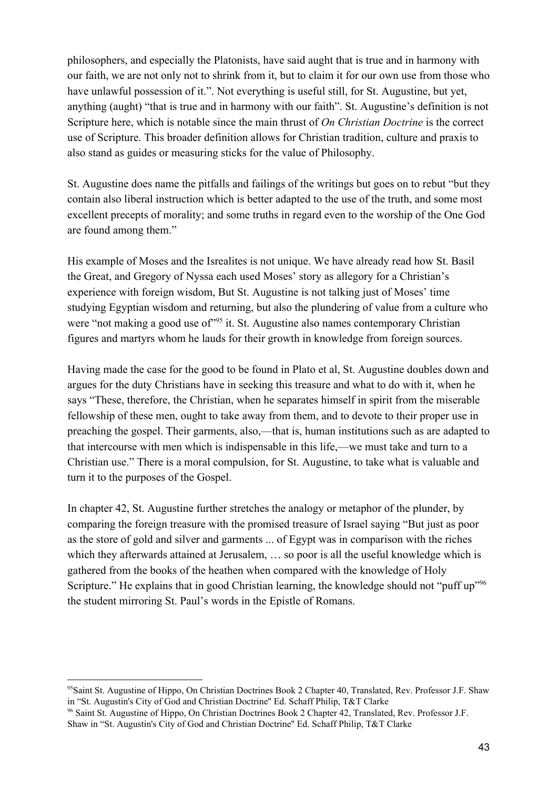philosophers, and especially the Platonists, have said aught that is true and in harmony with our faith, we are not only not to shrink from it, but to claim it for our own use from those who have unlawful possession of it.". Not everything is useful still, for St. Augustine, but yet, anything (aught) "that is true and in harmony with our faith". St. Augustine's definition is not Scripture here, which is notable since the main thrust of *On Christian Doctrine* is the correct use of Scripture. This broader definition allows for Christian tradition, culture and praxis to also stand as guides or measuring sticks for the value of Philosophy.

St. Augustine does name the pitfalls and failings of the writings but goes on to rebut "but they contain also liberal instruction which is better adapted to the use of the truth, and some most excellent precepts of morality; and some truths in regard even to the worship of the One God are found among them."

His example of Moses and the Isrealites is not unique. We have already read how St. Basil the Great, and Gregory of Nyssa each used Moses' story as allegory for a Christian's experience with foreign wisdom, But St. Augustine is not talking just of Moses' time studying Egyptian wisdom and returning, but also the plundering of value from a culture who were "not making a good use of"<sup>95</sup> it. St. Augustine also names contemporary Christian figures and martyrs whom he lauds for their growth in knowledge from foreign sources.

Having made the case for the good to be found in Plato et al, St. Augustine doubles down and argues for the duty Christians have in seeking this treasure and what to do with it, when he says "These, therefore, the Christian, when he separates himself in spirit from the miserable fellowship of these men, ought to take away from them, and to devote to their proper use in preaching the gospel. Their garments, also,—that is, human institutions such as are adapted to that intercourse with men which is indispensable in this life,—we must take and turn to a Christian use." There is a moral compulsion, for St. Augustine, to take what is valuable and turn it to the purposes of the Gospel.

In chapter 42, St. Augustine further stretches the analogy or metaphor of the plunder, by comparing the foreign treasure with the promised treasure of Israel saying "But just as poor as the store of gold and silver and garments ... of Egypt was in comparison with the riches which they afterwards attained at Jerusalem, … so poor is all the useful knowledge which is gathered from the books of the heathen when compared with the knowledge of Holy Scripture." He explains that in good Christian learning, the knowledge should not "puff up"<sup>96</sup> the student mirroring St. Paul's words in the Epistle of Romans.

<sup>95</sup>Saint St. Augustine of Hippo, On Christian Doctrines Book 2 Chapter 40, Translated, Rev. Professor J.F. Shaw in "St. Augustin's City of God and Christian Doctrine'' Ed. Schaff Philip, T&T Clarke

<sup>96</sup> Saint St. Augustine of Hippo, On Christian Doctrines Book 2 Chapter 42, Translated, Rev. Professor J.F. Shaw in "St. Augustin's City of God and Christian Doctrine'' Ed. Schaff Philip, T&T Clarke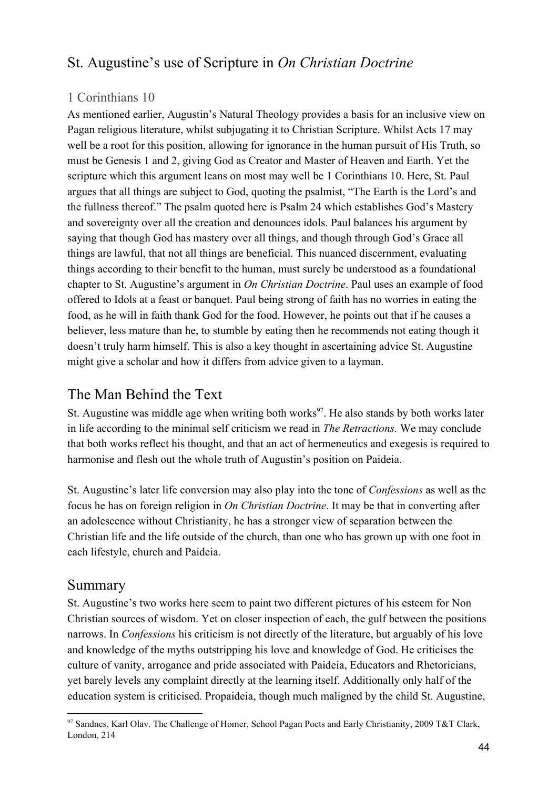# St. Augustine's use of Scripture in *On Christian Doctrine*

#### 1 Corinthians 10

As mentioned earlier, Augustin's Natural Theology provides a basis for an inclusive view on Pagan religious literature, whilst subjugating it to Christian Scripture. Whilst Acts 17 may well be a root for this position, allowing for ignorance in the human pursuit of His Truth, so must be Genesis 1 and 2, giving God as Creator and Master of Heaven and Earth. Yet the scripture which this argument leans on most may well be 1 Corinthians 10. Here, St. Paul argues that all things are subject to God, quoting the psalmist, "The Earth is the Lord's and the fullness thereof." The psalm quoted here is Psalm 24 which establishes God's Mastery and sovereignty over all the creation and denounces idols. Paul balances his argument by saying that though God has mastery over all things, and though through God's Grace all things are lawful, that not all things are beneficial. This nuanced discernment, evaluating things according to their benefit to the human, must surely be understood as a foundational chapter to St. Augustine's argument in *On Christian Doctrine*. Paul uses an example of food offered to Idols at a feast or banquet. Paul being strong of faith has no worries in eating the food, as he will in faith thank God for the food. However, he points out that if he causes a believer, less mature than he, to stumble by eating then he recommends not eating though it doesn't truly harm himself. This is also a key thought in ascertaining advice St. Augustine might give a scholar and how it differs from advice given to a layman.

## The Man Behind the Text

St. Augustine was middle age when writing both works<sup>97</sup>. He also stands by both works later in life according to the minimal self criticism we read in *The Retractions.* We may conclude that both works reflect his thought, and that an act of hermeneutics and exegesis is required to harmonise and flesh out the whole truth of Augustin's position on Paideia.

St. Augustine's later life conversion may also play into the tone of *Confessions* as well as the focus he has on foreign religion in *On Christian Doctrine*. It may be that in converting after an adolescence without Christianity, he has a stronger view of separation between the Christian life and the life outside of the church, than one who has grown up with one foot in each lifestyle, church and Paideia.

## Summary

St. Augustine's two works here seem to paint two different pictures of his esteem for Non Christian sources of wisdom. Yet on closer inspection of each, the gulf between the positions narrows. In *Confessions* his criticism is not directly of the literature, but arguably of his love and knowledge of the myths outstripping his love and knowledge of God. He criticises the culture of vanity, arrogance and pride associated with Paideia, Educators and Rhetoricians, yet barely levels any complaint directly at the learning itself. Additionally only half of the education system is criticised. Propaideia, though much maligned by the child St. Augustine,

<sup>97</sup> Sandnes, Karl Olav. The Challenge of Homer, School Pagan Poets and Early Christianity, 2009 T&T Clark, London, 214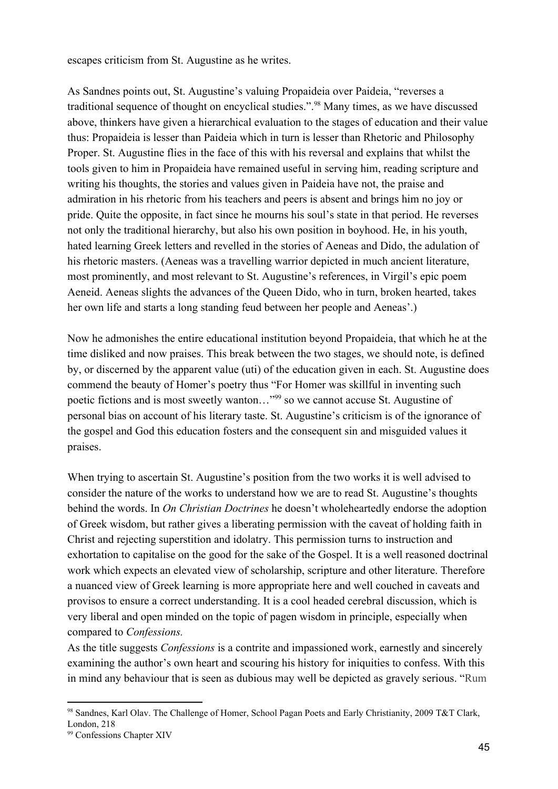escapes criticism from St. Augustine as he writes.

As Sandnes points out, St. Augustine's valuing Propaideia over Paideia, "reverses a traditional sequence of thought on encyclical studies.".<sup>98</sup> Many times, as we have discussed above, thinkers have given a hierarchical evaluation to the stages of education and their value thus: Propaideia is lesser than Paideia which in turn is lesser than Rhetoric and Philosophy Proper. St. Augustine flies in the face of this with his reversal and explains that whilst the tools given to him in Propaideia have remained useful in serving him, reading scripture and writing his thoughts, the stories and values given in Paideia have not, the praise and admiration in his rhetoric from his teachers and peers is absent and brings him no joy or pride. Quite the opposite, in fact since he mourns his soul's state in that period. He reverses not only the traditional hierarchy, but also his own position in boyhood. He, in his youth, hated learning Greek letters and revelled in the stories of Aeneas and Dido, the adulation of his rhetoric masters. (Aeneas was a travelling warrior depicted in much ancient literature, most prominently, and most relevant to St. Augustine's references, in Virgil's epic poem Aeneid. Aeneas slights the advances of the Queen Dido, who in turn, broken hearted, takes her own life and starts a long standing feud between her people and Aeneas'.)

Now he admonishes the entire educational institution beyond Propaideia, that which he at the time disliked and now praises. This break between the two stages, we should note, is defined by, or discerned by the apparent value (uti) of the education given in each. St. Augustine does commend the beauty of Homer's poetry thus "For Homer was skillful in inventing such poetic fictions and is most sweetly wanton..."<sup>99</sup> so we cannot accuse St. Augustine of personal bias on account of his literary taste. St. Augustine's criticism is of the ignorance of the gospel and God this education fosters and the consequent sin and misguided values it praises.

When trying to ascertain St. Augustine's position from the two works it is well advised to consider the nature of the works to understand how we are to read St. Augustine's thoughts behind the words. In *On Christian Doctrines* he doesn't wholeheartedly endorse the adoption of Greek wisdom, but rather gives a liberating permission with the caveat of holding faith in Christ and rejecting superstition and idolatry. This permission turns to instruction and exhortation to capitalise on the good for the sake of the Gospel. It is a well reasoned doctrinal work which expects an elevated view of scholarship, scripture and other literature. Therefore a nuanced view of Greek learning is more appropriate here and well couched in caveats and provisos to ensure a correct understanding. It is a cool headed cerebral discussion, which is very liberal and open minded on the topic of pagen wisdom in principle, especially when compared to *Confessions.*

As the title suggests *Confessions* is a contrite and impassioned work, earnestly and sincerely examining the author's own heart and scouring his history for iniquities to confess. With this in mind any behaviour that is seen as dubious may well be depicted as gravely serious. "Rum

<sup>98</sup> Sandnes, Karl Olav. The Challenge of Homer, School Pagan Poets and Early Christianity, 2009 T&T Clark, London, 218

<sup>99</sup> Confessions Chapter XIV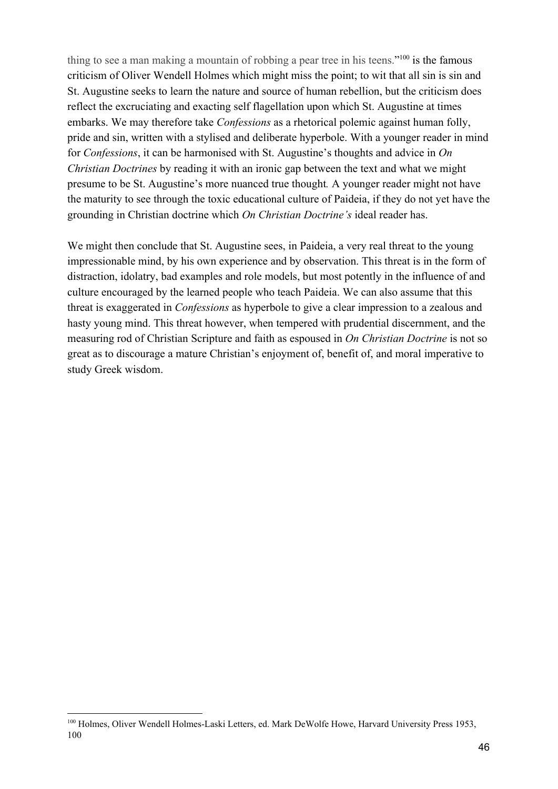thing to see a man making a mountain of robbing a pear tree in his teens."<sup>100</sup> is the famous criticism of Oliver Wendell Holmes which might miss the point; to wit that all sin is sin and St. Augustine seeks to learn the nature and source of human rebellion, but the criticism does reflect the excruciating and exacting self flagellation upon which St. Augustine at times embarks. We may therefore take *Confessions* as a rhetorical polemic against human folly, pride and sin, written with a stylised and deliberate hyperbole. With a younger reader in mind for *Confessions*, it can be harmonised with St. Augustine's thoughts and advice in *On Christian Doctrines* by reading it with an ironic gap between the text and what we might presume to be St. Augustine's more nuanced true thought*.* A younger reader might not have the maturity to see through the toxic educational culture of Paideia, if they do not yet have the grounding in Christian doctrine which *On Christian Doctrine's* ideal reader has.

We might then conclude that St. Augustine sees, in Paideia, a very real threat to the young impressionable mind, by his own experience and by observation. This threat is in the form of distraction, idolatry, bad examples and role models, but most potently in the influence of and culture encouraged by the learned people who teach Paideia. We can also assume that this threat is exaggerated in *Confessions* as hyperbole to give a clear impression to a zealous and hasty young mind. This threat however, when tempered with prudential discernment, and the measuring rod of Christian Scripture and faith as espoused in *On Christian Doctrine* is not so great as to discourage a mature Christian's enjoyment of, benefit of, and moral imperative to study Greek wisdom.

<sup>&</sup>lt;sup>100</sup> Holmes, Oliver Wendell Holmes-Laski Letters, ed. Mark DeWolfe Howe, Harvard University Press 1953, 100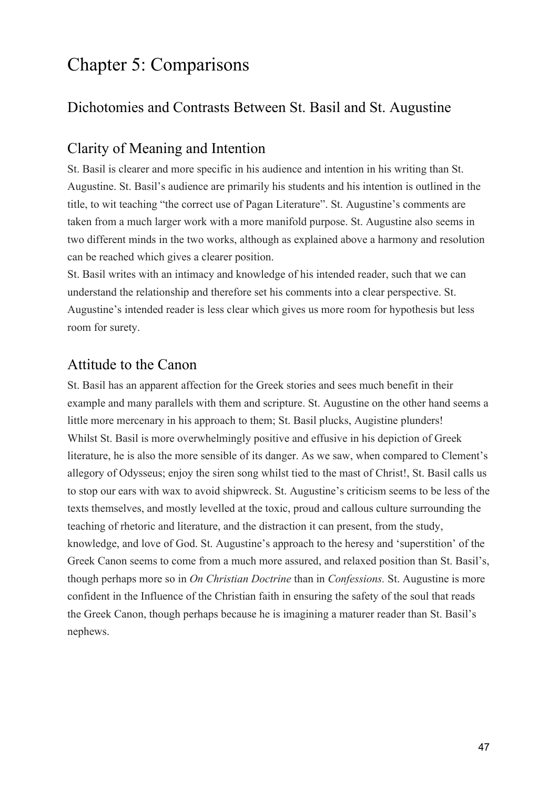# Chapter 5: Comparisons

# Dichotomies and Contrasts Between St. Basil and St. Augustine

## Clarity of Meaning and Intention

St. Basil is clearer and more specific in his audience and intention in his writing than St. Augustine. St. Basil's audience are primarily his students and his intention is outlined in the title, to wit teaching "the correct use of Pagan Literature". St. Augustine's comments are taken from a much larger work with a more manifold purpose. St. Augustine also seems in two different minds in the two works, although as explained above a harmony and resolution can be reached which gives a clearer position.

St. Basil writes with an intimacy and knowledge of his intended reader, such that we can understand the relationship and therefore set his comments into a clear perspective. St. Augustine's intended reader is less clear which gives us more room for hypothesis but less room for surety.

## Attitude to the Canon

St. Basil has an apparent affection for the Greek stories and sees much benefit in their example and many parallels with them and scripture. St. Augustine on the other hand seems a little more mercenary in his approach to them; St. Basil plucks, Augistine plunders! Whilst St. Basil is more overwhelmingly positive and effusive in his depiction of Greek literature, he is also the more sensible of its danger. As we saw, when compared to Clement's allegory of Odysseus; enjoy the siren song whilst tied to the mast of Christ!, St. Basil calls us to stop our ears with wax to avoid shipwreck. St. Augustine's criticism seems to be less of the texts themselves, and mostly levelled at the toxic, proud and callous culture surrounding the teaching of rhetoric and literature, and the distraction it can present, from the study, knowledge, and love of God. St. Augustine's approach to the heresy and 'superstition' of the Greek Canon seems to come from a much more assured, and relaxed position than St. Basil's, though perhaps more so in *On Christian Doctrine* than in *Confessions.* St. Augustine is more confident in the Influence of the Christian faith in ensuring the safety of the soul that reads the Greek Canon, though perhaps because he is imagining a maturer reader than St. Basil's nephews.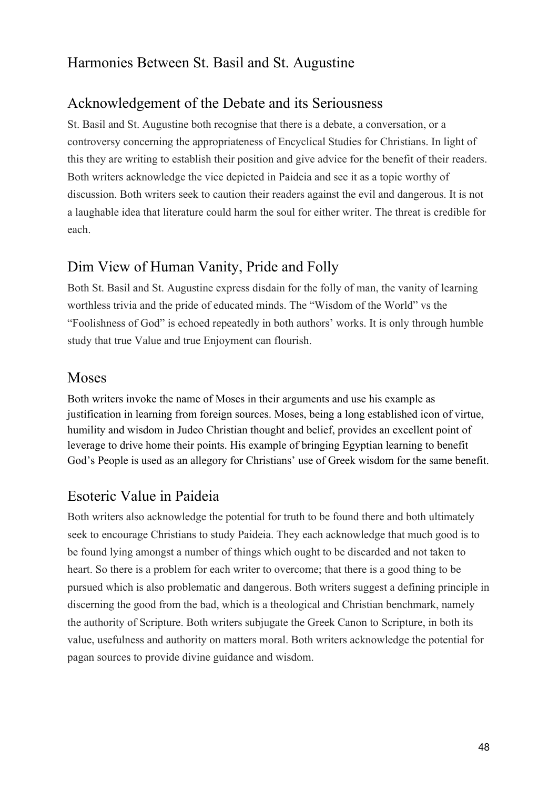# Harmonies Between St. Basil and St. Augustine

## Acknowledgement of the Debate and its Seriousness

St. Basil and St. Augustine both recognise that there is a debate, a conversation, or a controversy concerning the appropriateness of Encyclical Studies for Christians. In light of this they are writing to establish their position and give advice for the benefit of their readers. Both writers acknowledge the vice depicted in Paideia and see it as a topic worthy of discussion. Both writers seek to caution their readers against the evil and dangerous. It is not a laughable idea that literature could harm the soul for either writer. The threat is credible for each.

## Dim View of Human Vanity, Pride and Folly

Both St. Basil and St. Augustine express disdain for the folly of man, the vanity of learning worthless trivia and the pride of educated minds. The "Wisdom of the World" vs the "Foolishness of God" is echoed repeatedly in both authors' works. It is only through humble study that true Value and true Enjoyment can flourish.

### Moses

Both writers invoke the name of Moses in their arguments and use his example as justification in learning from foreign sources. Moses, being a long established icon of virtue, humility and wisdom in Judeo Christian thought and belief, provides an excellent point of leverage to drive home their points. His example of bringing Egyptian learning to benefit God's People is used as an allegory for Christians' use of Greek wisdom for the same benefit.

## Esoteric Value in Paideia

Both writers also acknowledge the potential for truth to be found there and both ultimately seek to encourage Christians to study Paideia. They each acknowledge that much good is to be found lying amongst a number of things which ought to be discarded and not taken to heart. So there is a problem for each writer to overcome; that there is a good thing to be pursued which is also problematic and dangerous. Both writers suggest a defining principle in discerning the good from the bad, which is a theological and Christian benchmark, namely the authority of Scripture. Both writers subjugate the Greek Canon to Scripture, in both its value, usefulness and authority on matters moral. Both writers acknowledge the potential for pagan sources to provide divine guidance and wisdom.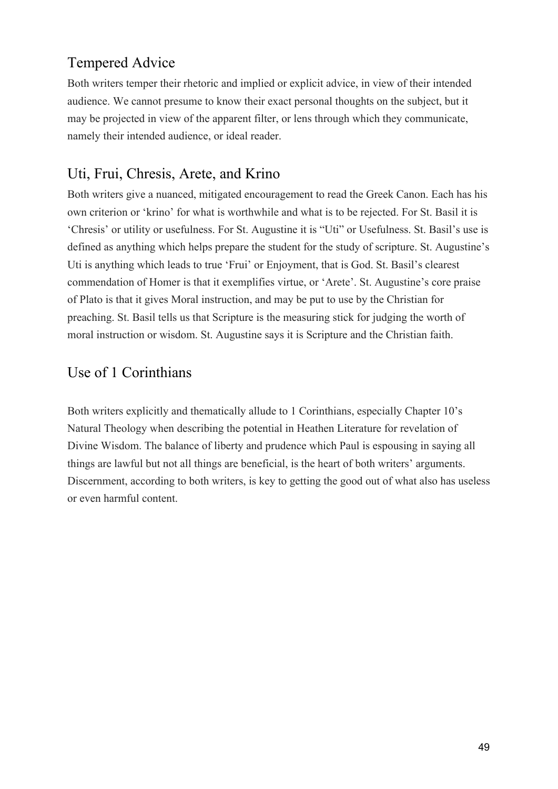# Tempered Advice

Both writers temper their rhetoric and implied or explicit advice, in view of their intended audience. We cannot presume to know their exact personal thoughts on the subject, but it may be projected in view of the apparent filter, or lens through which they communicate, namely their intended audience, or ideal reader.

## Uti, Frui, Chresis, Arete, and Krino

Both writers give a nuanced, mitigated encouragement to read the Greek Canon. Each has his own criterion or 'krino' for what is worthwhile and what is to be rejected. For St. Basil it is 'Chresis' or utility or usefulness. For St. Augustine it is "Uti" or Usefulness. St. Basil's use is defined as anything which helps prepare the student for the study of scripture. St. Augustine's Uti is anything which leads to true 'Frui' or Enjoyment, that is God. St. Basil's clearest commendation of Homer is that it exemplifies virtue, or 'Arete'. St. Augustine's core praise of Plato is that it gives Moral instruction, and may be put to use by the Christian for preaching. St. Basil tells us that Scripture is the measuring stick for judging the worth of moral instruction or wisdom. St. Augustine says it is Scripture and the Christian faith.

## Use of 1 Corinthians

Both writers explicitly and thematically allude to 1 Corinthians, especially Chapter 10's Natural Theology when describing the potential in Heathen Literature for revelation of Divine Wisdom. The balance of liberty and prudence which Paul is espousing in saying all things are lawful but not all things are beneficial, is the heart of both writers' arguments. Discernment, according to both writers, is key to getting the good out of what also has useless or even harmful content.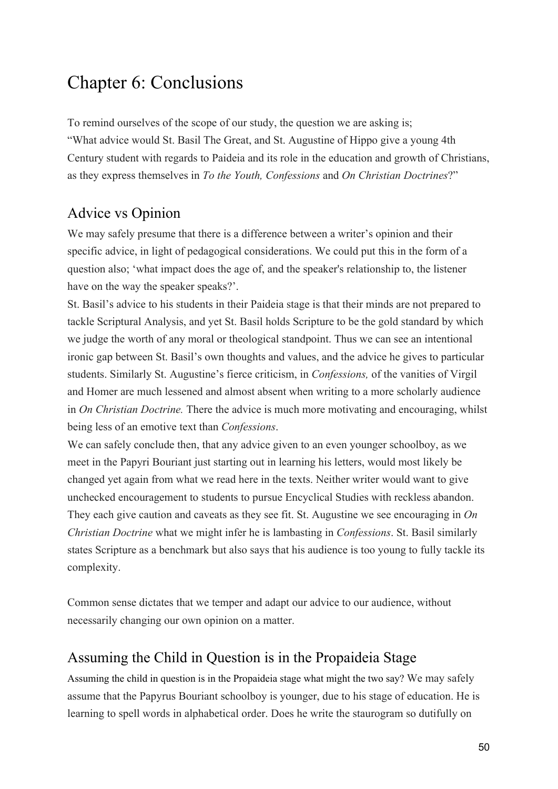# Chapter 6: Conclusions

To remind ourselves of the scope of our study, the question we are asking is; "What advice would St. Basil The Great, and St. Augustine of Hippo give a young 4th Century student with regards to Paideia and its role in the education and growth of Christians, as they express themselves in *To the Youth, Confessions* and *On Christian Doctrines*?"

# Advice vs Opinion

We may safely presume that there is a difference between a writer's opinion and their specific advice, in light of pedagogical considerations. We could put this in the form of a question also; 'what impact does the age of, and the speaker's relationship to, the listener have on the way the speaker speaks?'.

St. Basil's advice to his students in their Paideia stage is that their minds are not prepared to tackle Scriptural Analysis, and yet St. Basil holds Scripture to be the gold standard by which we judge the worth of any moral or theological standpoint. Thus we can see an intentional ironic gap between St. Basil's own thoughts and values, and the advice he gives to particular students. Similarly St. Augustine's fierce criticism, in *Confessions,* of the vanities of Virgil and Homer are much lessened and almost absent when writing to a more scholarly audience in *On Christian Doctrine.* There the advice is much more motivating and encouraging, whilst being less of an emotive text than *Confessions*.

We can safely conclude then, that any advice given to an even younger schoolboy, as we meet in the Papyri Bouriant just starting out in learning his letters, would most likely be changed yet again from what we read here in the texts. Neither writer would want to give unchecked encouragement to students to pursue Encyclical Studies with reckless abandon. They each give caution and caveats as they see fit. St. Augustine we see encouraging in *On Christian Doctrine* what we might infer he is lambasting in *Confessions*. St. Basil similarly states Scripture as a benchmark but also says that his audience is too young to fully tackle its complexity.

Common sense dictates that we temper and adapt our advice to our audience, without necessarily changing our own opinion on a matter.

## Assuming the Child in Question is in the Propaideia Stage

Assuming the child in question is in the Propaideia stage what might the two say? We may safely assume that the Papyrus Bouriant schoolboy is younger, due to his stage of education. He is learning to spell words in alphabetical order. Does he write the staurogram so dutifully on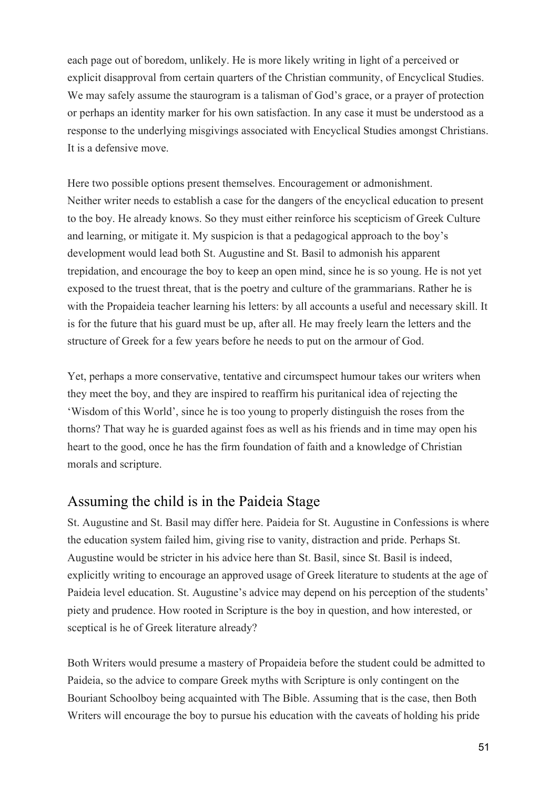each page out of boredom, unlikely. He is more likely writing in light of a perceived or explicit disapproval from certain quarters of the Christian community, of Encyclical Studies. We may safely assume the staurogram is a talisman of God's grace, or a prayer of protection or perhaps an identity marker for his own satisfaction. In any case it must be understood as a response to the underlying misgivings associated with Encyclical Studies amongst Christians. It is a defensive move.

Here two possible options present themselves. Encouragement or admonishment. Neither writer needs to establish a case for the dangers of the encyclical education to present to the boy. He already knows. So they must either reinforce his scepticism of Greek Culture and learning, or mitigate it. My suspicion is that a pedagogical approach to the boy's development would lead both St. Augustine and St. Basil to admonish his apparent trepidation, and encourage the boy to keep an open mind, since he is so young. He is not yet exposed to the truest threat, that is the poetry and culture of the grammarians. Rather he is with the Propaideia teacher learning his letters: by all accounts a useful and necessary skill. It is for the future that his guard must be up, after all. He may freely learn the letters and the structure of Greek for a few years before he needs to put on the armour of God.

Yet, perhaps a more conservative, tentative and circumspect humour takes our writers when they meet the boy, and they are inspired to reaffirm his puritanical idea of rejecting the 'Wisdom of this World', since he is too young to properly distinguish the roses from the thorns? That way he is guarded against foes as well as his friends and in time may open his heart to the good, once he has the firm foundation of faith and a knowledge of Christian morals and scripture.

### Assuming the child is in the Paideia Stage

St. Augustine and St. Basil may differ here. Paideia for St. Augustine in Confessions is where the education system failed him, giving rise to vanity, distraction and pride. Perhaps St. Augustine would be stricter in his advice here than St. Basil, since St. Basil is indeed, explicitly writing to encourage an approved usage of Greek literature to students at the age of Paideia level education. St. Augustine's advice may depend on his perception of the students' piety and prudence. How rooted in Scripture is the boy in question, and how interested, or sceptical is he of Greek literature already?

Both Writers would presume a mastery of Propaideia before the student could be admitted to Paideia, so the advice to compare Greek myths with Scripture is only contingent on the Bouriant Schoolboy being acquainted with The Bible. Assuming that is the case, then Both Writers will encourage the boy to pursue his education with the caveats of holding his pride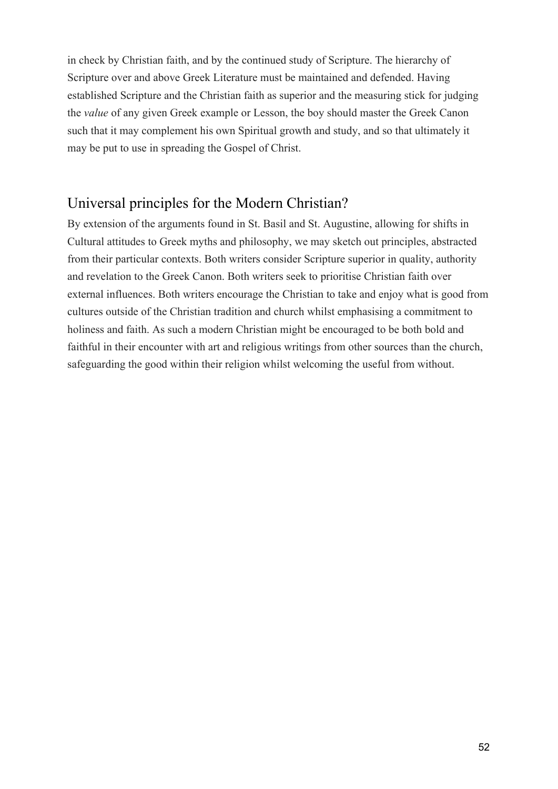in check by Christian faith, and by the continued study of Scripture. The hierarchy of Scripture over and above Greek Literature must be maintained and defended. Having established Scripture and the Christian faith as superior and the measuring stick for judging the *value* of any given Greek example or Lesson, the boy should master the Greek Canon such that it may complement his own Spiritual growth and study, and so that ultimately it may be put to use in spreading the Gospel of Christ.

## Universal principles for the Modern Christian?

By extension of the arguments found in St. Basil and St. Augustine, allowing for shifts in Cultural attitudes to Greek myths and philosophy, we may sketch out principles, abstracted from their particular contexts. Both writers consider Scripture superior in quality, authority and revelation to the Greek Canon. Both writers seek to prioritise Christian faith over external influences. Both writers encourage the Christian to take and enjoy what is good from cultures outside of the Christian tradition and church whilst emphasising a commitment to holiness and faith. As such a modern Christian might be encouraged to be both bold and faithful in their encounter with art and religious writings from other sources than the church, safeguarding the good within their religion whilst welcoming the useful from without.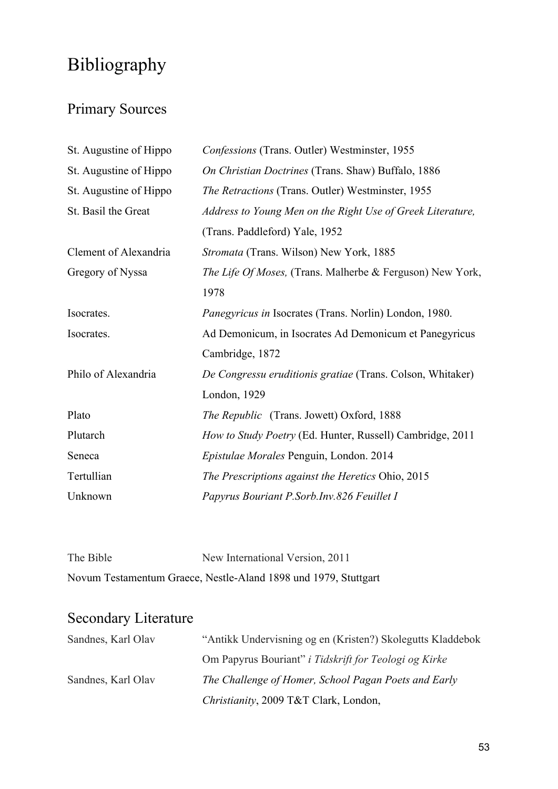# Bibliography

# Primary Sources

| St. Augustine of Hippo | Confessions (Trans. Outler) Westminster, 1955                 |
|------------------------|---------------------------------------------------------------|
| St. Augustine of Hippo | On Christian Doctrines (Trans. Shaw) Buffalo, 1886            |
| St. Augustine of Hippo | The Retractions (Trans. Outler) Westminster, 1955             |
| St. Basil the Great    | Address to Young Men on the Right Use of Greek Literature,    |
|                        | (Trans. Paddleford) Yale, 1952                                |
| Clement of Alexandria  | Stromata (Trans. Wilson) New York, 1885                       |
| Gregory of Nyssa       | The Life Of Moses, (Trans. Malherbe & Ferguson) New York,     |
|                        | 1978                                                          |
| Isocrates.             | <i>Panegyricus in Isocrates (Trans. Norlin) London, 1980.</i> |
| Isocrates.             | Ad Demonicum, in Isocrates Ad Demonicum et Panegyricus        |
|                        | Cambridge, 1872                                               |
| Philo of Alexandria    | De Congressu eruditionis gratiae (Trans. Colson, Whitaker)    |
|                        | London, 1929                                                  |
| Plato                  | <i>The Republic</i> (Trans. Jowett) Oxford, 1888              |
| Plutarch               | How to Study Poetry (Ed. Hunter, Russell) Cambridge, 2011     |
| Seneca                 | Epistulae Morales Penguin, London. 2014                       |
| Tertullian             | The Prescriptions against the Heretics Ohio, 2015             |
| Unknown                | Papyrus Bouriant P.Sorb.Inv.826 Feuillet I                    |

| The Bible | New International Version, 2011                                 |
|-----------|-----------------------------------------------------------------|
|           | Novum Testamentum Graece, Nestle-Aland 1898 und 1979, Stuttgart |

# Secondary Literature

| Sandnes, Karl Olav | "Antikk Undervisning og en (Kristen?) Skolegutts Kladdebok |
|--------------------|------------------------------------------------------------|
|                    | Om Papyrus Bouriant" i Tidskrift for Teologi og Kirke      |
| Sandnes, Karl Olav | The Challenge of Homer, School Pagan Poets and Early       |
|                    | Christianity, 2009 T&T Clark, London,                      |